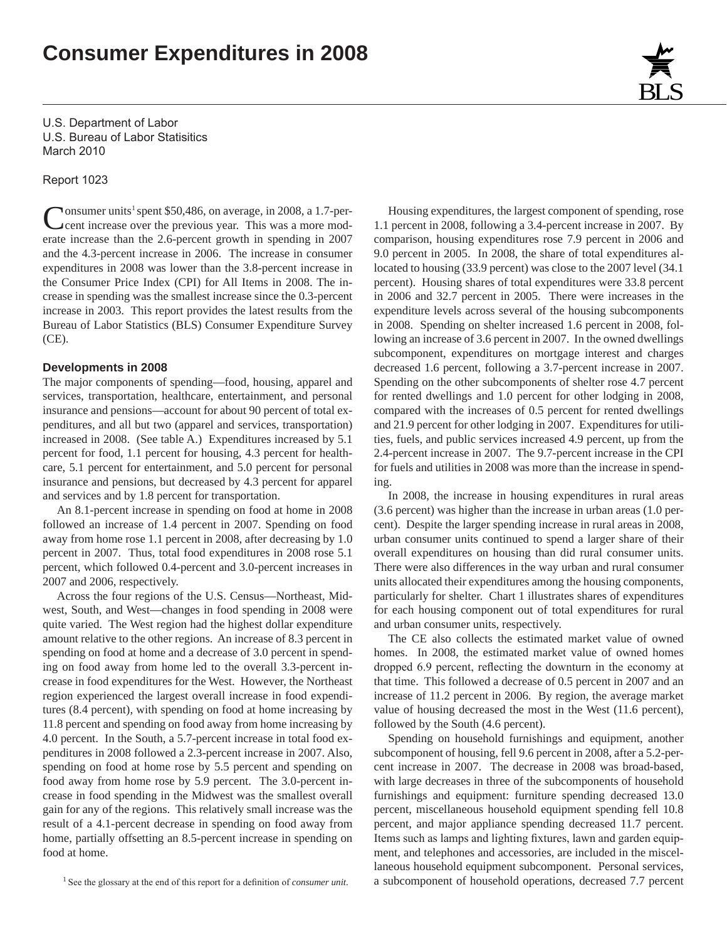# **Consumer Expenditures in 2008**

U.S. Department of Labor U.S. Bureau of Labor Statisitics March 2010

Report 1023

Consumer units<sup>1</sup> spent \$50,486, on average, in 2008, a 1.7-per-<br>cent increase over the previous year. This was a more model cent increase over the previous year. This was a more moderate increase than the 2.6-percent growth in spending in 2007 and the 4.3-percent increase in 2006. The increase in consumer expenditures in 2008 was lower than the 3.8-percent increase in the Consumer Price Index (CPI) for All Items in 2008. The increase in spending was the smallest increase since the 0.3-percent increase in 2003. This report provides the latest results from the Bureau of Labor Statistics (BLS) Consumer Expenditure Survey (CE).

#### **Developments in 2008**

The major components of spending—food, housing, apparel and services, transportation, healthcare, entertainment, and personal insurance and pensions—account for about 90 percent of total expenditures, and all but two (apparel and services, transportation) increased in 2008. (See table A.) Expenditures increased by 5.1 percent for food, 1.1 percent for housing, 4.3 percent for healthcare, 5.1 percent for entertainment, and 5.0 percent for personal insurance and pensions, but decreased by 4.3 percent for apparel and services and by 1.8 percent for transportation.

An 8.1-percent increase in spending on food at home in 2008 followed an increase of 1.4 percent in 2007. Spending on food away from home rose 1.1 percent in 2008, after decreasing by 1.0 percent in 2007. Thus, total food expenditures in 2008 rose 5.1 percent, which followed 0.4-percent and 3.0-percent increases in 2007 and 2006, respectively.

Across the four regions of the U.S. Census—Northeast, Midwest, South, and West—changes in food spending in 2008 were quite varied. The West region had the highest dollar expenditure amount relative to the other regions. An increase of 8.3 percent in spending on food at home and a decrease of 3.0 percent in spending on food away from home led to the overall 3.3-percent increase in food expenditures for the West. However, the Northeast region experienced the largest overall increase in food expenditures (8.4 percent), with spending on food at home increasing by 11.8 percent and spending on food away from home increasing by 4.0 percent. In the South, a 5.7-percent increase in total food expenditures in 2008 followed a 2.3-percent increase in 2007. Also, spending on food at home rose by 5.5 percent and spending on food away from home rose by 5.9 percent. The 3.0-percent increase in food spending in the Midwest was the smallest overall gain for any of the regions. This relatively small increase was the result of a 4.1-percent decrease in spending on food away from home, partially offsetting an 8.5-percent increase in spending on food at home.

1 See the glossary at the end of this report for a definition of *consumer unit*.

Housing expenditures, the largest component of spending, rose 1.1 percent in 2008, following a 3.4-percent increase in 2007. By comparison, housing expenditures rose 7.9 percent in 2006 and 9.0 percent in 2005. In 2008, the share of total expenditures allocated to housing (33.9 percent) was close to the 2007 level (34.1 percent). Housing shares of total expenditures were 33.8 percent in 2006 and 32.7 percent in 2005. There were increases in the expenditure levels across several of the housing subcomponents in 2008. Spending on shelter increased 1.6 percent in 2008, following an increase of 3.6 percent in 2007. In the owned dwellings subcomponent, expenditures on mortgage interest and charges decreased 1.6 percent, following a 3.7-percent increase in 2007. Spending on the other subcomponents of shelter rose 4.7 percent for rented dwellings and 1.0 percent for other lodging in 2008, compared with the increases of 0.5 percent for rented dwellings and 21.9 percent for other lodging in 2007. Expenditures for utilities, fuels, and public services increased 4.9 percent, up from the 2.4-percent increase in 2007. The 9.7-percent increase in the CPI for fuels and utilities in 2008 was more than the increase in spending.

In 2008, the increase in housing expenditures in rural areas (3.6 percent) was higher than the increase in urban areas (1.0 percent). Despite the larger spending increase in rural areas in 2008, urban consumer units continued to spend a larger share of their overall expenditures on housing than did rural consumer units. There were also differences in the way urban and rural consumer units allocated their expenditures among the housing components, particularly for shelter. Chart 1 illustrates shares of expenditures for each housing component out of total expenditures for rural and urban consumer units, respectively.

The CE also collects the estimated market value of owned homes. In 2008, the estimated market value of owned homes dropped 6.9 percent, reflecting the downturn in the economy at that time. This followed a decrease of 0.5 percent in 2007 and an increase of 11.2 percent in 2006. By region, the average market value of housing decreased the most in the West (11.6 percent), followed by the South (4.6 percent).

Spending on household furnishings and equipment, another subcomponent of housing, fell 9.6 percent in 2008, after a 5.2-percent increase in 2007. The decrease in 2008 was broad-based, with large decreases in three of the subcomponents of household furnishings and equipment: furniture spending decreased 13.0 percent, miscellaneous household equipment spending fell 10.8 percent, and major appliance spending decreased 11.7 percent. Items such as lamps and lighting fixtures, lawn and garden equipment, and telephones and accessories, are included in the miscellaneous household equipment subcomponent. Personal services, a subcomponent of household operations, decreased 7.7 percent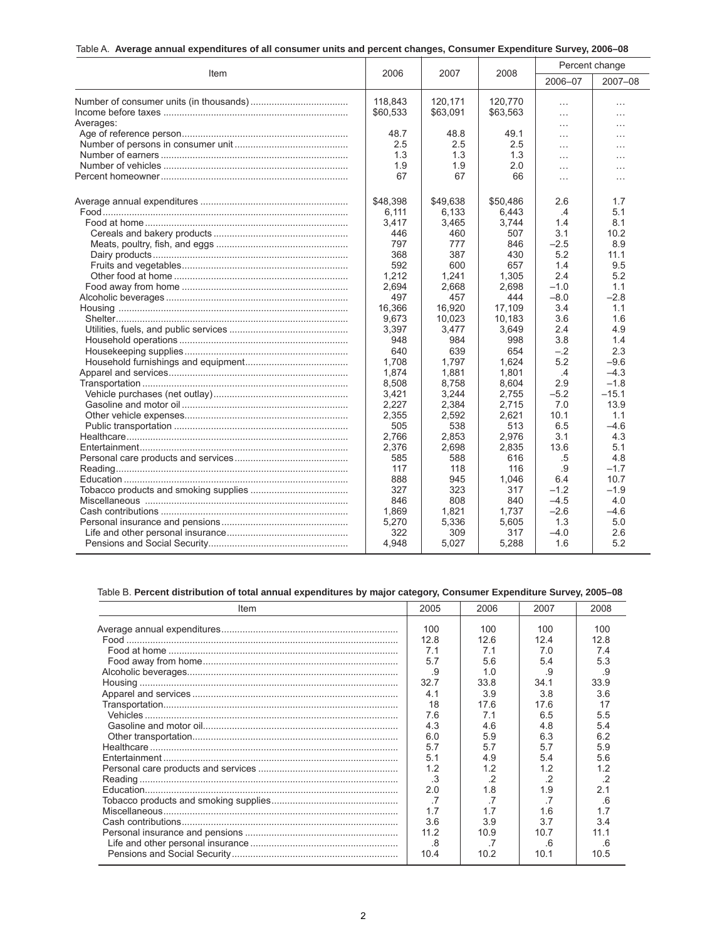| Table A. Average annual expenditures of all consumer units and percent changes, Consumer Expenditure Survey, 2006–08 |  |  |  |  |  |  |  |
|----------------------------------------------------------------------------------------------------------------------|--|--|--|--|--|--|--|
|----------------------------------------------------------------------------------------------------------------------|--|--|--|--|--|--|--|

|           | 2006     | 2007     | 2008     | Percent change |          |  |
|-----------|----------|----------|----------|----------------|----------|--|
| Item      |          |          |          | 2006-07        | 2007-08  |  |
|           | 118,843  | 120,171  | 120.770  | $\ldots$       | $\cdots$ |  |
|           | \$60,533 | \$63,091 | \$63,563 | $\cdots$       | $\ldots$ |  |
| Averages: |          |          |          | $\ldots$       | $\cdots$ |  |
|           | 48.7     | 48.8     | 49.1     | $\cdots$       | $\cdots$ |  |
|           | 2.5      | 2.5      | 2.5      | $\sim$         | $\cdots$ |  |
|           | 1.3      | 1.3      | 1.3      | $\cdots$       | $\cdots$ |  |
|           | 1.9      | 1.9      | 2.0      | $\sim$         | $\cdots$ |  |
|           | 67       | 67       | 66       | $\cdots$       | $\cdots$ |  |
|           | \$48,398 | \$49,638 | \$50,486 | 2.6            | 1.7      |  |
|           | 6.111    | 6,133    | 6,443    | .4             | 5.1      |  |
|           | 3,417    | 3,465    | 3.744    | 1.4            | 8.1      |  |
|           | 446      | 460      | 507      | 3.1            | 10.2     |  |
|           | 797      | 777      | 846      | $-2.5$         | 8.9      |  |
|           | 368      | 387      | 430      | 5.2            | 11.1     |  |
|           | 592      | 600      | 657      | 1.4            | 9.5      |  |
|           | 1,212    | 1,241    | 1,305    | 2.4            | 5.2      |  |
|           | 2,694    | 2,668    | 2,698    | $-1.0$         | 1.1      |  |
|           | 497      | 457      | 444      | $-8.0$         | $-2.8$   |  |
|           | 16,366   | 16,920   | 17,109   | 3.4            | 1.1      |  |
|           | 9.673    | 10,023   | 10.183   | 3.6            | 1.6      |  |
|           | 3,397    | 3,477    | 3,649    | 2.4            | 4.9      |  |
|           | 948      | 984      | 998      | 3.8            | 1.4      |  |
|           | 640      | 639      | 654      | $-.2$          | 2.3      |  |
|           | 1,708    | 1,797    | 1,624    | 5.2            | -9.6     |  |
|           | 1,874    | 1,881    | 1,801    | .4             | $-4.3$   |  |
|           | 8,508    | 8,758    | 8,604    | 2.9            | $-1.8$   |  |
|           | 3,421    | 3,244    | 2,755    | $-5.2$         | $-15.1$  |  |
|           | 2,227    | 2,384    | 2,715    | 7.0            | 13.9     |  |
|           | 2,355    | 2,592    | 2,621    | 10.1           | 1.1      |  |
|           | 505      | 538      | 513      | 6.5            | $-4.6$   |  |
|           | 2.766    | 2,853    | 2.976    | 3.1            | 4.3      |  |
|           | 2,376    | 2,698    | 2,835    | 13.6           | 5.1      |  |
|           | 585      | 588      | 616      | .5             | 4.8      |  |
|           | 117      | 118      | 116      | .9             | $-1.7$   |  |
|           | 888      | 945      | 1,046    | 6.4            | 10.7     |  |
|           | 327      | 323      | 317      | $-1.2$         | $-1.9$   |  |
|           | 846      | 808      | 840      | $-4.5$         | 4.0      |  |
|           | 1,869    | 1,821    | 1.737    | $-2.6$         | $-4.6$   |  |
|           | 5,270    | 5,336    | 5,605    | 1.3            | 5.0      |  |
|           | 322      | 309      | 317      | $-4.0$         | 2.6      |  |
|           | 4,948    | 5,027    | 5,288    | 1.6            | 5.2      |  |

# Table B. **Percent distribution of total annual expenditures by major category, Consumer Expenditure Survey, 2005–08**

| Item | 2005           | 2006           | 2007       | 2008      |
|------|----------------|----------------|------------|-----------|
|      | 100            | 100            | 100        | 100       |
|      | 12.8           | 12.6           | 124        | 128       |
|      | 7.1<br>5.7     | 7.1<br>5.6     | 7.0<br>5.4 | 74<br>5.3 |
|      | .9             | 1.0            | .9         | .9        |
|      |                |                |            |           |
|      | 32.7           | 33.8           | 34.1       | 33.9      |
|      | 4.1            | 3.9            | 3.8        | 3.6       |
|      | 18             | 17.6           | 17.6       | 17        |
|      | 7.6            | 7.1            | 6.5        | 5.5       |
|      | 4.3            | 4.6            | 4.8        | 5.4       |
|      | 6.0            | 5.9            | 6.3        | 6.2       |
|      | 5.7            | 5.7            | 57         | 5.9       |
|      | 5.1            | 4.9            | 54         | 5.6       |
|      | 1.2            | 1.2            | 1.2        | 1.2       |
|      | .3             | $\cdot$ 2      | $\cdot$ 2  | $\cdot$ 2 |
|      | 2.0            | 1.8            | 1.9        | 2.1       |
|      | $\overline{7}$ | $\overline{7}$ | .7         | -6        |
|      | 1.7            | 17             | 16         | 1.7       |
|      | 3.6            | 3.9            | 37         | 34        |
|      | 11.2           | 10.9           | 10.7       | 11.1      |
|      | .8             |                | .6         | 6         |
|      | 10.4           | 10.2           | 10.1       | 10.5      |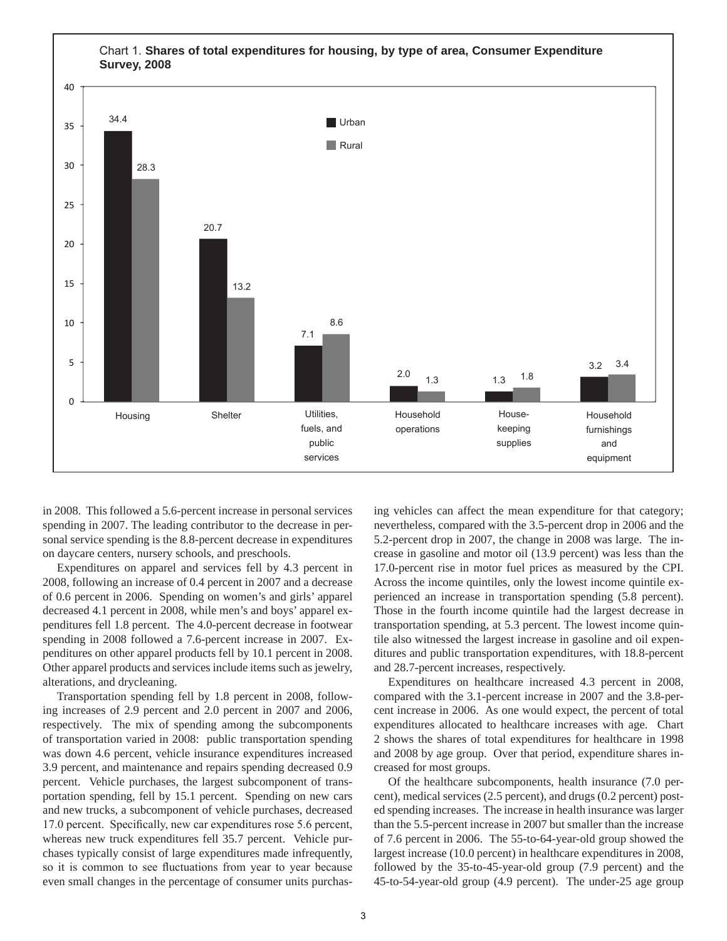

in 2008. This followed a 5.6-percent increase in personal services spending in 2007. The leading contributor to the decrease in personal service spending is the 8.8-percent decrease in expenditures on daycare centers, nursery schools, and preschools.

Expenditures on apparel and services fell by 4.3 percent in 2008, following an increase of 0.4 percent in 2007 and a decrease of 0.6 percent in 2006. Spending on women's and girls' apparel decreased 4.1 percent in 2008, while men's and boys' apparel expenditures fell 1.8 percent. The 4.0-percent decrease in footwear spending in 2008 followed a 7.6-percent increase in 2007. Expenditures on other apparel products fell by 10.1 percent in 2008. Other apparel products and services include items such as jewelry, alterations, and drycleaning.

Transportation spending fell by 1.8 percent in 2008, following increases of 2.9 percent and 2.0 percent in 2007 and 2006, respectively. The mix of spending among the subcomponents of transportation varied in 2008: public transportation spending was down 4.6 percent, vehicle insurance expenditures increased 3.9 percent, and maintenance and repairs spending decreased 0.9 percent. Vehicle purchases, the largest subcomponent of transportation spending, fell by 15.1 percent. Spending on new cars and new trucks, a subcomponent of vehicle purchases, decreased 17.0 percent. Specifically, new car expenditures rose 5.6 percent, whereas new truck expenditures fell 35.7 percent. Vehicle purchases typically consist of large expenditures made infrequently, so it is common to see fluctuations from year to year because even small changes in the percentage of consumer units purchasing vehicles can affect the mean expenditure for that category; nevertheless, compared with the 3.5-percent drop in 2006 and the 5.2-percent drop in 2007, the change in 2008 was large. The increase in gasoline and motor oil (13.9 percent) was less than the 17.0-percent rise in motor fuel prices as measured by the CPI. Across the income quintiles, only the lowest income quintile experienced an increase in transportation spending (5.8 percent). Those in the fourth income quintile had the largest decrease in transportation spending, at 5.3 percent. The lowest income quintile also witnessed the largest increase in gasoline and oil expenditures and public transportation expenditures, with 18.8-percent and 28.7-percent increases, respectively.

Expenditures on healthcare increased 4.3 percent in 2008, compared with the 3.1-percent increase in 2007 and the 3.8-percent increase in 2006. As one would expect, the percent of total expenditures allocated to healthcare increases with age. Chart 2 shows the shares of total expenditures for healthcare in 1998 and 2008 by age group. Over that period, expenditure shares increased for most groups.

Of the healthcare subcomponents, health insurance (7.0 percent), medical services (2.5 percent), and drugs (0.2 percent) posted spending increases. The increase in health insurance was larger than the 5.5-percent increase in 2007 but smaller than the increase of 7.6 percent in 2006. The 55-to-64-year-old group showed the largest increase (10.0 percent) in healthcare expenditures in 2008, followed by the 35-to-45-year-old group (7.9 percent) and the 45-to-54-year-old group (4.9 percent). The under-25 age group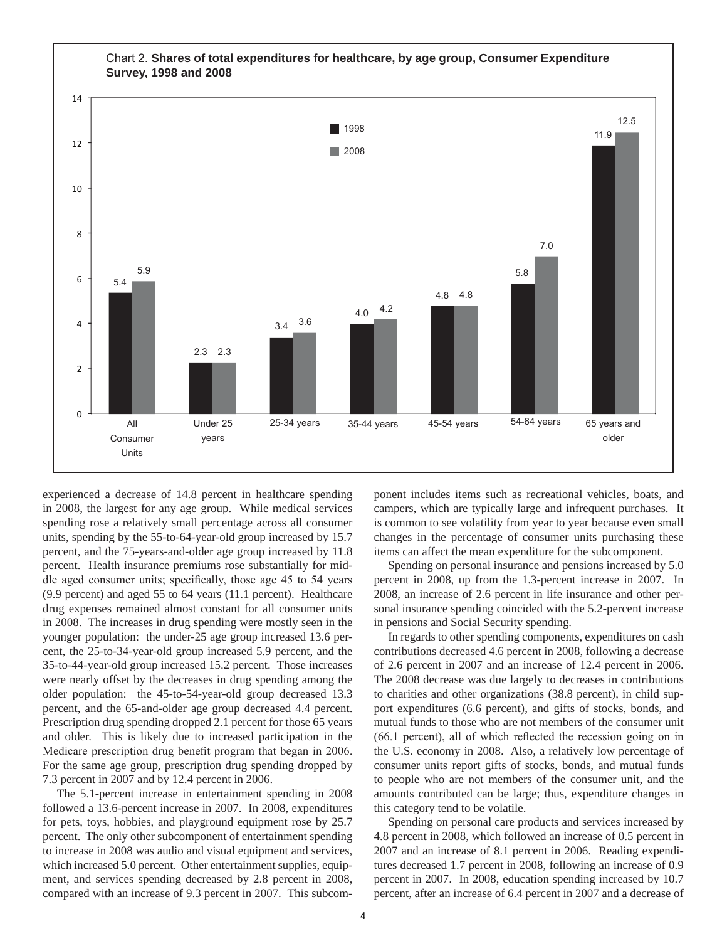

experienced a decrease of 14.8 percent in healthcare spending in 2008, the largest for any age group. While medical services spending rose a relatively small percentage across all consumer units, spending by the 55-to-64-year-old group increased by 15.7 percent, and the 75-years-and-older age group increased by 11.8 percent. Health insurance premiums rose substantially for middle aged consumer units; specifically, those age 45 to 54 years (9.9 percent) and aged 55 to 64 years (11.1 percent). Healthcare drug expenses remained almost constant for all consumer units in 2008. The increases in drug spending were mostly seen in the younger population: the under-25 age group increased 13.6 percent, the 25-to-34-year-old group increased 5.9 percent, and the 35-to-44-year-old group increased 15.2 percent. Those increases were nearly offset by the decreases in drug spending among the older population: the 45-to-54-year-old group decreased 13.3 percent, and the 65-and-older age group decreased 4.4 percent. Prescription drug spending dropped 2.1 percent for those 65 years and older. This is likely due to increased participation in the Medicare prescription drug benefit program that began in 2006. For the same age group, prescription drug spending dropped by 7.3 percent in 2007 and by 12.4 percent in 2006.

The 5.1-percent increase in entertainment spending in 2008 followed a 13.6-percent increase in 2007. In 2008, expenditures for pets, toys, hobbies, and playground equipment rose by 25.7 percent. The only other subcomponent of entertainment spending to increase in 2008 was audio and visual equipment and services, which increased 5.0 percent. Other entertainment supplies, equipment, and services spending decreased by 2.8 percent in 2008, compared with an increase of 9.3 percent in 2007. This subcomponent includes items such as recreational vehicles, boats, and campers, which are typically large and infrequent purchases. It is common to see volatility from year to year because even small changes in the percentage of consumer units purchasing these items can affect the mean expenditure for the subcomponent.

Spending on personal insurance and pensions increased by 5.0 percent in 2008, up from the 1.3-percent increase in 2007. In 2008, an increase of 2.6 percent in life insurance and other personal insurance spending coincided with the 5.2-percent increase in pensions and Social Security spending.

In regards to other spending components, expenditures on cash contributions decreased 4.6 percent in 2008, following a decrease of 2.6 percent in 2007 and an increase of 12.4 percent in 2006. The 2008 decrease was due largely to decreases in contributions to charities and other organizations (38.8 percent), in child support expenditures (6.6 percent), and gifts of stocks, bonds, and mutual funds to those who are not members of the consumer unit (66.1 percent), all of which reflected the recession going on in the U.S. economy in 2008. Also, a relatively low percentage of consumer units report gifts of stocks, bonds, and mutual funds to people who are not members of the consumer unit, and the amounts contributed can be large; thus, expenditure changes in this category tend to be volatile.

Spending on personal care products and services increased by 4.8 percent in 2008, which followed an increase of 0.5 percent in 2007 and an increase of 8.1 percent in 2006. Reading expenditures decreased 1.7 percent in 2008, following an increase of 0.9 percent in 2007. In 2008, education spending increased by 10.7 percent, after an increase of 6.4 percent in 2007 and a decrease of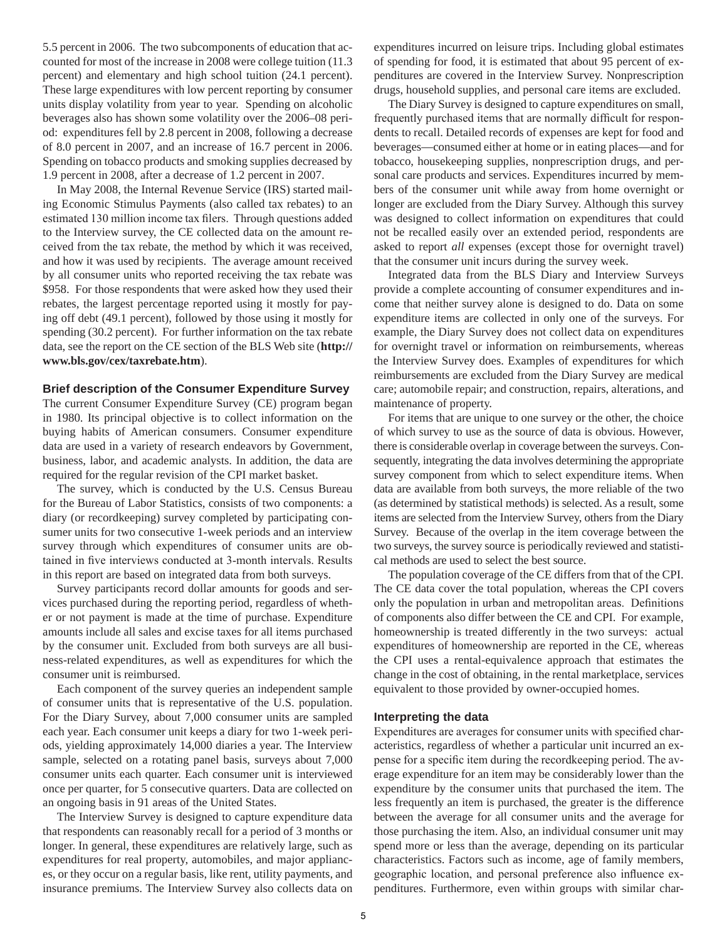5.5 percent in 2006. The two subcomponents of education that accounted for most of the increase in 2008 were college tuition (11.3 percent) and elementary and high school tuition (24.1 percent). These large expenditures with low percent reporting by consumer units display volatility from year to year. Spending on alcoholic beverages also has shown some volatility over the 2006–08 period: expenditures fell by 2.8 percent in 2008, following a decrease of 8.0 percent in 2007, and an increase of 16.7 percent in 2006. Spending on tobacco products and smoking supplies decreased by 1.9 percent in 2008, after a decrease of 1.2 percent in 2007.

In May 2008, the Internal Revenue Service (IRS) started mailing Economic Stimulus Payments (also called tax rebates) to an estimated 130 million income tax filers. Through questions added to the Interview survey, the CE collected data on the amount received from the tax rebate, the method by which it was received, and how it was used by recipients. The average amount received by all consumer units who reported receiving the tax rebate was \$958. For those respondents that were asked how they used their rebates, the largest percentage reported using it mostly for paying off debt (49.1 percent), followed by those using it mostly for spending (30.2 percent). For further information on the tax rebate data, see the report on the CE section of the BLS Web site (**http:// www.bls.gov/cex/taxrebate.htm**).

#### **Brief description of the Consumer Expenditure Survey**

The current Consumer Expenditure Survey (CE) program began in 1980. Its principal objective is to collect information on the buying habits of American consumers. Consumer expenditure data are used in a variety of research endeavors by Government, business, labor, and academic analysts. In addition, the data are required for the regular revision of the CPI market basket.

The survey, which is conducted by the U.S. Census Bureau for the Bureau of Labor Statistics, consists of two components: a diary (or recordkeeping) survey completed by participating consumer units for two consecutive 1-week periods and an interview survey through which expenditures of consumer units are obtained in five interviews conducted at 3-month intervals. Results in this report are based on integrated data from both surveys.

Survey participants record dollar amounts for goods and services purchased during the reporting period, regardless of whether or not payment is made at the time of purchase. Expenditure amounts include all sales and excise taxes for all items purchased by the consumer unit. Excluded from both surveys are all business-related expenditures, as well as expenditures for which the consumer unit is reimbursed.

Each component of the survey queries an independent sample of consumer units that is representative of the U.S. population. For the Diary Survey, about 7,000 consumer units are sampled each year. Each consumer unit keeps a diary for two 1-week periods, yielding approximately 14,000 diaries a year. The Interview sample, selected on a rotating panel basis, surveys about 7,000 consumer units each quarter. Each consumer unit is interviewed once per quarter, for 5 consecutive quarters. Data are collected on an ongoing basis in 91 areas of the United States.

The Interview Survey is designed to capture expenditure data that respondents can reasonably recall for a period of 3 months or longer. In general, these expenditures are relatively large, such as expenditures for real property, automobiles, and major appliances, or they occur on a regular basis, like rent, utility payments, and insurance premiums. The Interview Survey also collects data on

expenditures incurred on leisure trips. Including global estimates of spending for food, it is estimated that about 95 percent of expenditures are covered in the Interview Survey. Nonprescription drugs, household supplies, and personal care items are excluded.

The Diary Survey is designed to capture expenditures on small, frequently purchased items that are normally difficult for respondents to recall. Detailed records of expenses are kept for food and beverages—consumed either at home or in eating places—and for tobacco, housekeeping supplies, nonprescription drugs, and personal care products and services. Expenditures incurred by members of the consumer unit while away from home overnight or longer are excluded from the Diary Survey. Although this survey was designed to collect information on expenditures that could not be recalled easily over an extended period, respondents are asked to report *all* expenses (except those for overnight travel) that the consumer unit incurs during the survey week.

Integrated data from the BLS Diary and Interview Surveys provide a complete accounting of consumer expenditures and income that neither survey alone is designed to do. Data on some expenditure items are collected in only one of the surveys. For example, the Diary Survey does not collect data on expenditures for overnight travel or information on reimbursements, whereas the Interview Survey does. Examples of expenditures for which reimbursements are excluded from the Diary Survey are medical care; automobile repair; and construction, repairs, alterations, and maintenance of property.

For items that are unique to one survey or the other, the choice of which survey to use as the source of data is obvious. However, there is considerable overlap in coverage between the surveys. Consequently, integrating the data involves determining the appropriate survey component from which to select expenditure items. When data are available from both surveys, the more reliable of the two (as determined by statistical methods) is selected. As a result, some items are selected from the Interview Survey, others from the Diary Survey. Because of the overlap in the item coverage between the two surveys, the survey source is periodically reviewed and statistical methods are used to select the best source.

The population coverage of the CE differs from that of the CPI. The CE data cover the total population, whereas the CPI covers only the population in urban and metropolitan areas. Definitions of components also differ between the CE and CPI. For example, homeownership is treated differently in the two surveys: actual expenditures of homeownership are reported in the CE, whereas the CPI uses a rental-equivalence approach that estimates the change in the cost of obtaining, in the rental marketplace, services equivalent to those provided by owner-occupied homes.

### **Interpreting the data**

Expenditures are averages for consumer units with specified characteristics, regardless of whether a particular unit incurred an expense for a specific item during the recordkeeping period. The average expenditure for an item may be considerably lower than the expenditure by the consumer units that purchased the item. The less frequently an item is purchased, the greater is the difference between the average for all consumer units and the average for those purchasing the item. Also, an individual consumer unit may spend more or less than the average, depending on its particular characteristics. Factors such as income, age of family members, geographic location, and personal preference also influence expenditures. Furthermore, even within groups with similar char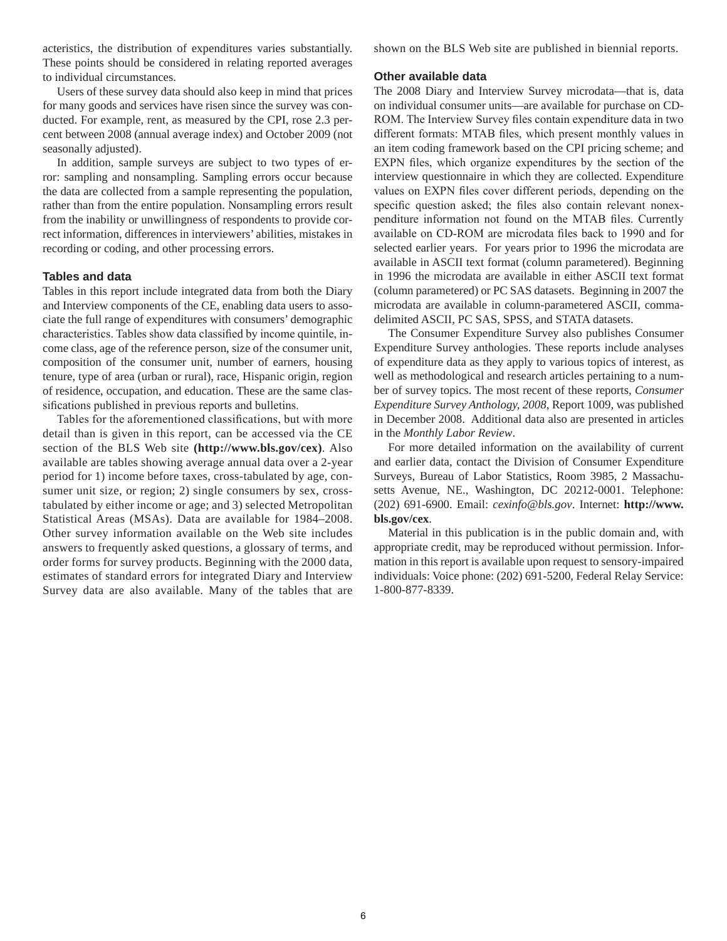acteristics, the distribution of expenditures varies substantially. These points should be considered in relating reported averages to individual circumstances.

Users of these survey data should also keep in mind that prices for many goods and services have risen since the survey was conducted. For example, rent, as measured by the CPI, rose 2.3 percent between 2008 (annual average index) and October 2009 (not seasonally adjusted).

In addition, sample surveys are subject to two types of error: sampling and nonsampling. Sampling errors occur because the data are collected from a sample representing the population, rather than from the entire population. Nonsampling errors result from the inability or unwillingness of respondents to provide correct information, differences in interviewers' abilities, mistakes in recording or coding, and other processing errors.

### **Tables and data**

Tables in this report include integrated data from both the Diary and Interview components of the CE, enabling data users to associate the full range of expenditures with consumers' demographic characteristics. Tables show data classified by income quintile, income class, age of the reference person, size of the consumer unit, composition of the consumer unit, number of earners, housing tenure, type of area (urban or rural), race, Hispanic origin, region of residence, occupation, and education. These are the same classifications published in previous reports and bulletins.

Tables for the aforementioned classifications, but with more detail than is given in this report, can be accessed via the CE section of the BLS Web site **(http://www.bls.gov/cex)**. Also available are tables showing average annual data over a 2-year period for 1) income before taxes, cross-tabulated by age, consumer unit size, or region; 2) single consumers by sex, crosstabulated by either income or age; and 3) selected Metropolitan Statistical Areas (MSAs). Data are available for 1984–2008. Other survey information available on the Web site includes answers to frequently asked questions, a glossary of terms, and order forms for survey products. Beginning with the 2000 data, estimates of standard errors for integrated Diary and Interview Survey data are also available. Many of the tables that are shown on the BLS Web site are published in biennial reports.

#### **Other available data**

The 2008 Diary and Interview Survey microdata—that is, data on individual consumer units—are available for purchase on CD-ROM. The Interview Survey files contain expenditure data in two different formats: MTAB files, which present monthly values in an item coding framework based on the CPI pricing scheme; and EXPN files, which organize expenditures by the section of the interview questionnaire in which they are collected. Expenditure values on EXPN files cover different periods, depending on the specific question asked; the files also contain relevant nonexpenditure information not found on the MTAB files. Currently available on CD-ROM are microdata files back to 1990 and for selected earlier years. For years prior to 1996 the microdata are available in ASCII text format (column parametered). Beginning in 1996 the microdata are available in either ASCII text format (column parametered) or PC SAS datasets. Beginning in 2007 the microdata are available in column-parametered ASCII, commadelimited ASCII, PC SAS, SPSS, and STATA datasets.

The Consumer Expenditure Survey also publishes Consumer Expenditure Survey anthologies. These reports include analyses of expenditure data as they apply to various topics of interest, as well as methodological and research articles pertaining to a number of survey topics. The most recent of these reports, *Consumer Expenditure Survey Anthology, 2008*, Report 1009, was published in December 2008. Additional data also are presented in articles in the *Monthly Labor Review*.

For more detailed information on the availability of current and earlier data, contact the Division of Consumer Expenditure Surveys, Bureau of Labor Statistics, Room 3985, 2 Massachusetts Avenue, NE., Washington, DC 20212-0001. Telephone: (202) 691-6900. Email: *cexinfo@bls.gov*. Internet: **http://www. bls.gov/cex**.

Material in this publication is in the public domain and, with appropriate credit, may be reproduced without permission. Information in this report is available upon request to sensory-impaired individuals: Voice phone: (202) 691-5200, Federal Relay Service: 1-800-877-8339.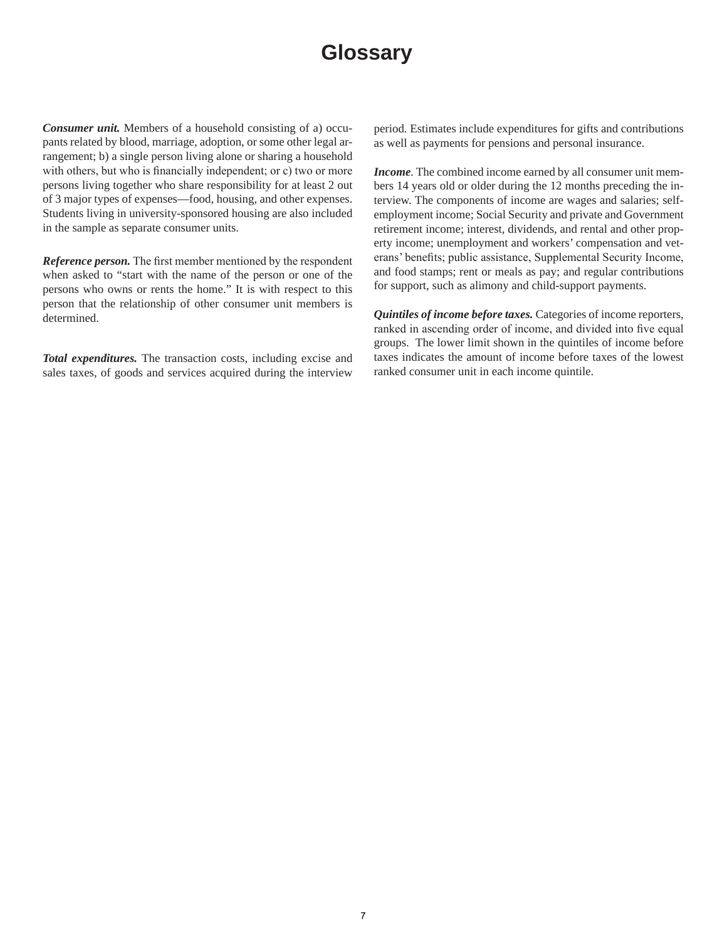# **Glossary**

*Consumer unit.* Members of a household consisting of a) occupants related by blood, marriage, adoption, or some other legal arrangement; b) a single person living alone or sharing a household with others, but who is financially independent; or c) two or more persons living together who share responsibility for at least 2 out of 3 major types of expenses—food, housing, and other expenses. Students living in university-sponsored housing are also included in the sample as separate consumer units.

*Reference person.* The first member mentioned by the respondent when asked to "start with the name of the person or one of the persons who owns or rents the home." It is with respect to this person that the relationship of other consumer unit members is determined.

*Total expenditures.* The transaction costs, including excise and sales taxes, of goods and services acquired during the interview period. Estimates include expenditures for gifts and contributions as well as payments for pensions and personal insurance.

*Income.* The combined income earned by all consumer unit members 14 years old or older during the 12 months preceding the interview. The components of income are wages and salaries; selfemployment income; Social Security and private and Government retirement income; interest, dividends, and rental and other property income; unemployment and workers' compensation and veterans' benefits; public assistance, Supplemental Security Income, and food stamps; rent or meals as pay; and regular contributions for support, such as alimony and child-support payments.

*Quintiles of income before taxes.* Categories of income reporters, ranked in ascending order of income, and divided into five equal groups. The lower limit shown in the quintiles of income before taxes indicates the amount of income before taxes of the lowest ranked consumer unit in each income quintile.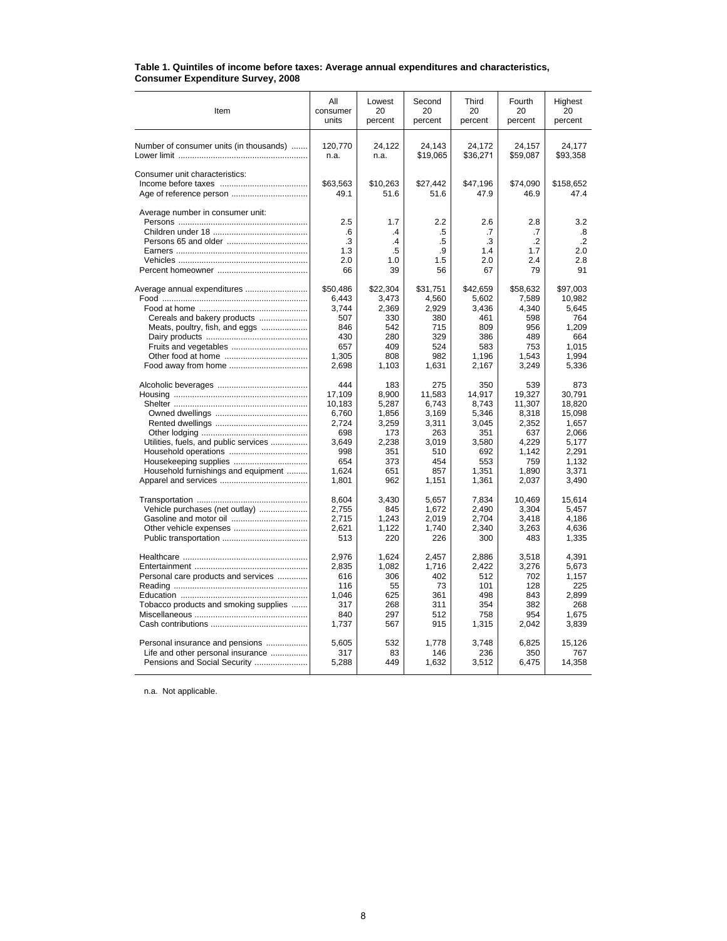| Item                                    | All                    | Lowest                     | Second                | Third                  | Fourth                      | Highest                     |
|-----------------------------------------|------------------------|----------------------------|-----------------------|------------------------|-----------------------------|-----------------------------|
|                                         | consumer               | 20                         | 20                    | 20                     | 20                          | 20                          |
|                                         | units                  | percent                    | percent               | percent                | percent                     | percent                     |
| Number of consumer units (in thousands) | 120,770                | 24,122                     | 24,143                | 24,172                 | 24,157                      | 24,177                      |
|                                         | n.a.                   | n.a.                       | \$19,065              | \$36,271               | \$59,087                    | \$93,358                    |
| Consumer unit characteristics:          | \$63,563<br>49.1       | \$10,263<br>51.6           | \$27,442<br>51.6      | \$47,196<br>47.9       | \$74,090<br>46.9            | \$158,652<br>47.4           |
| Average number in consumer unit:        | 2.5<br>.6<br>.3<br>1.3 | 1.7<br>$\cdot$<br>.4<br>.5 | 2.2<br>.5<br>.5<br>.9 | 2.6<br>.7<br>.3<br>1.4 | 2.8<br>.7<br>$\cdot$<br>1.7 | 3.2<br>.8<br>$\cdot$<br>2.0 |
|                                         | 2.0                    | 1.0                        | 1.5                   | 2.0                    | 2.4                         | 2.8                         |
|                                         | 66                     | 39                         | 56                    | 67                     | 79                          | 91                          |
| Average annual expenditures             | \$50,486               | \$22,304                   | \$31,751              | \$42.659               | \$58,632                    | \$97,003                    |
|                                         | 6,443                  | 3,473                      | 4,560                 | 5,602                  | 7,589                       | 10,982                      |
|                                         | 3.744                  | 2,369                      | 2,929                 | 3.436                  | 4,340                       | 5.645                       |
| Cereals and bakery products             | 507                    | 330                        | 380                   | 461                    | 598                         | 764                         |
| Meats, poultry, fish, and eggs          | 846                    | 542                        | 715                   | 809                    | 956                         | 1.209                       |
|                                         | 430                    | 280                        | 329                   | 386                    | 489                         | 664                         |
|                                         | 657                    | 409                        | 524                   | 583                    | 753                         | 1,015                       |
|                                         | 1,305                  | 808                        | 982                   | 1,196                  | 1,543                       | 1.994                       |
|                                         | 2,698                  | 1,103                      | 1,631                 | 2,167                  | 3,249                       | 5,336                       |
|                                         | 444                    | 183                        | 275                   | 350                    | 539                         | 873                         |
|                                         | 17,109                 | 8,900                      | 11,583                | 14.917                 | 19.327                      | 30.791                      |
|                                         | 10,183                 | 5,287                      | 6,743                 | 8,743                  | 11,307                      | 18,820                      |
|                                         | 6,760                  | 1,856                      | 3,169                 | 5,346                  | 8,318                       | 15,098                      |
|                                         | 2,724                  | 3,259                      | 3,311                 | 3,045                  | 2,352                       | 1,657                       |
|                                         | 698                    | 173                        | 263                   | 351                    | 637                         | 2.066                       |
| Utilities, fuels, and public services   | 3.649                  | 2,238                      | 3,019                 | 3,580                  | 4.229                       | 5.177                       |
|                                         | 998                    | 351                        | 510                   | 692                    | 1.142                       | 2.291                       |
|                                         | 654                    | 373                        | 454                   | 553                    | 759                         | 1,132                       |
| Household furnishings and equipment     | 1.624                  | 651                        | 857                   | 1.351                  | 1.890                       | 3,371                       |
|                                         | 1,801                  | 962                        | 1,151                 | 1,361                  | 2,037                       | 3,490                       |
|                                         | 8.604                  | 3.430                      | 5.657                 | 7.834                  | 10.469                      | 15.614                      |
| Vehicle purchases (net outlay)          | 2.755                  | 845                        | 1,672                 | 2.490                  | 3,304                       | 5.457                       |
|                                         | 2.715                  | 1.243                      | 2.019                 | 2.704                  | 3.418                       | 4.186                       |
|                                         | 2,621                  | 1,122                      | 1.740                 | 2,340                  | 3,263                       | 4,636                       |
|                                         | 513                    | 220                        | 226                   | 300                    | 483                         | 1,335                       |
|                                         | 2,976                  | 1,624                      | 2,457                 | 2,886                  | 3,518                       | 4,391                       |
|                                         | 2.835                  | 1.082                      | 1.716                 | 2,422                  | 3,276                       | 5,673                       |
| Personal care products and services     | 616                    | 306                        | 402                   | 512                    | 702                         | 1,157                       |
|                                         | 116                    | 55                         | 73                    | 101                    | 128                         | 225                         |
|                                         | 1,046                  | 625                        | 361                   | 498                    | 843                         | 2,899                       |
| Tobacco products and smoking supplies   | 317                    | 268                        | 311                   | 354                    | 382                         | 268                         |
|                                         | 840                    | 297                        | 512                   | 758                    | 954                         | 1,675                       |
|                                         | 1,737                  | 567                        | 915                   | 1,315                  | 2,042                       | 3,839                       |
| Personal insurance and pensions         | 5,605                  | 532                        | 1,778                 | 3,748                  | 6,825                       | 15,126                      |
| Life and other personal insurance       | 317                    | 83                         | 146                   | 236                    | 350                         | 767                         |
| Pensions and Social Security            | 5,288                  | 449                        | 1,632                 | 3,512                  | 6,475                       | 14,358                      |

#### **Table 1. Quintiles of income before taxes: Average annual expenditures and characteristics, Consumer Expenditure Survey, 2008**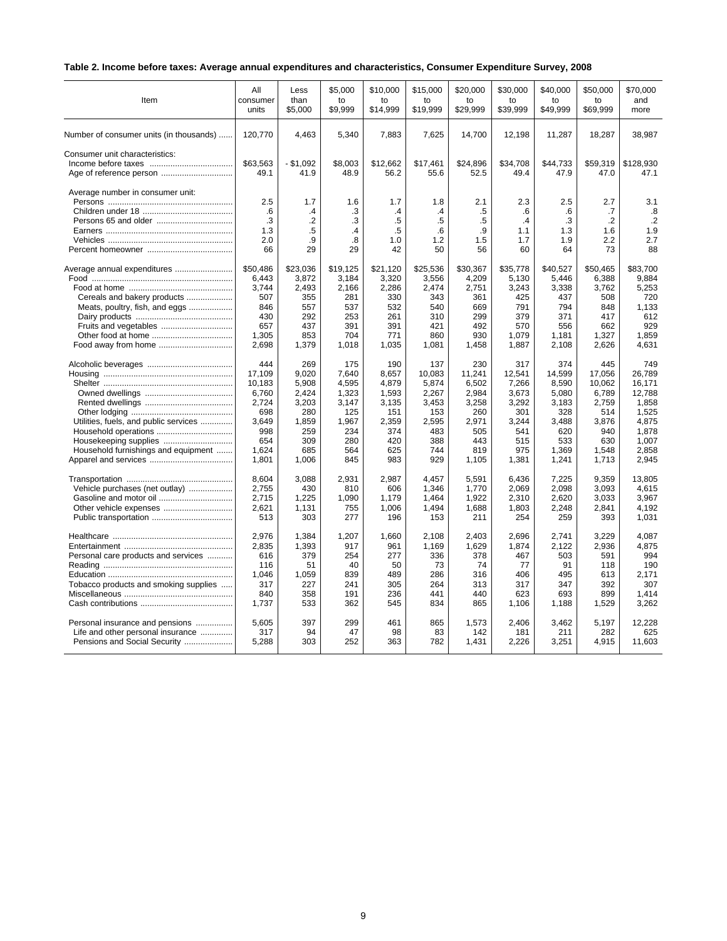# **Table 2. Income before taxes: Average annual expenditures and characteristics, Consumer Expenditure Survey, 2008**

| Item                                    | All              | Less                       | \$5,000         | \$10,000                      | \$15,000                 | \$20,000         | \$30,000               | \$40,000         | \$50,000             | \$70.000          |
|-----------------------------------------|------------------|----------------------------|-----------------|-------------------------------|--------------------------|------------------|------------------------|------------------|----------------------|-------------------|
|                                         | consumer         | than                       | to              | to                            | to                       | to               | to                     | to               | to                   | and               |
|                                         | units            | \$5,000                    | \$9,999         | \$14,999                      | \$19,999                 | \$29,999         | \$39,999               | \$49,999         | \$69,999             | more              |
| Number of consumer units (in thousands) | 120,770          | 4,463                      | 5,340           | 7,883                         | 7,625                    | 14,700           | 12,198                 | 11,287           | 18,287               | 38,987            |
| Consumer unit characteristics:          | \$63,563<br>49.1 | - \$1,092<br>41.9          | \$8,003<br>48.9 | \$12,662<br>56.2              | \$17,461<br>55.6         | \$24,896<br>52.5 | \$34,708<br>49.4       | \$44,733<br>47.9 | \$59,319<br>47.0     | \$128,930<br>47.1 |
| Average number in consumer unit:        | 2.5<br>.6        | 1.7                        | 1.6             | 1.7                           | 1.8                      | 2.1              | 2.3                    | 2.5              | 2.7                  | 3.1<br>.8         |
| Persons 65 and older                    | .3<br>1.3        | .4<br>$\overline{2}$<br>.5 | .3<br>.3<br>.4  | $\mathcal{A}$<br>.5<br>$.5\,$ | $\mathcal{A}$<br>.5<br>6 | .5<br>.5<br>.9   | .6<br>$\cdot$ 4<br>1.1 | .6<br>.3<br>1.3  | .7<br>$\cdot$<br>1.6 | $\cdot$ .2<br>1.9 |
|                                         | 2.0              | .9                         | .8              | 1.0                           | 1.2                      | 1.5              | 1.7                    | 1.9              | 2.2                  | 2.7               |
|                                         | 66               | 29                         | 29              | 42                            | 50                       | 56               | 60                     | 64               | 73                   | 88                |
| Average annual expenditures             | \$50,486         | \$23,036                   | \$19,125        | \$21,120                      | \$25,536                 | \$30,367         | \$35,778               | \$40,527         | \$50.465             | \$83.700          |
|                                         | 6,443            | 3,872                      | 3,184           | 3,320                         | 3,556                    | 4,209            | 5,130                  | 5,446            | 6,388                | 9,884             |
|                                         | 3.744            | 2,493                      | 2,166           | 2,286                         | 2,474                    | 2,751            | 3,243                  | 3,338            | 3,762                | 5,253             |
| Cereals and bakery products             | 507              | 355                        | 281             | 330                           | 343                      | 361              | 425                    | 437              | 508                  | 720               |
| Meats, poultry, fish, and eggs          | 846              | 557                        | 537             | 532                           | 540                      | 669              | 791                    | 794              | 848                  | 1,133             |
|                                         | 430              | 292                        | 253             | 261                           | 310                      | 299              | 379                    | 371              | 417                  | 612               |
| Fruits and vegetables                   | 657              | 437                        | 391             | 391                           | 421                      | 492              | 570                    | 556              | 662                  | 929               |
| Other food at home                      | 1,305            | 853                        | 704             | 771                           | 860                      | 930              | 1,079                  | 1,181            | 1,327                | 1,859             |
|                                         | 2,698            | 1,379                      | 1,018           | 1,035                         | 1,081                    | 1,458            | 1,887                  | 2,108            | 2,626                | 4,631             |
|                                         | 444              | 269                        | 175             | 190                           | 137                      | 230              | 317                    | 374              | 445                  | 749               |
|                                         | 17,109           | 9,020                      | 7,640           | 8,657                         | 10,083                   | 11,241           | 12,541                 | 14,599           | 17,056               | 26,789            |
|                                         | 10,183           | 5,908                      | 4,595           | 4,879                         | 5,874                    | 6,502            | 7,266                  | 8,590            | 10,062               | 16.171            |
|                                         | 6,760            | 2,424                      | 1,323           | 1,593                         | 2,267                    | 2,984            | 3,673                  | 5,080            | 6,789                | 12,788            |
|                                         | 2,724            | 3,203                      | 3,147           | 3,135                         | 3,453                    | 3,258            | 3,292                  | 3,183            | 2,759                | 1,858             |
|                                         | 698              | 280                        | 125             | 151                           | 153                      | 260              | 301                    | 328              | 514                  | 1,525             |
| Utilities, fuels, and public services   | 3,649            | 1,859                      | 1,967           | 2,359                         | 2,595                    | 2,971            | 3.244                  | 3,488            | 3,876                | 4,875             |
|                                         | 998              | 259                        | 234             | 374                           | 483                      | 505              | 541                    | 620              | 940                  | 1,878             |
|                                         | 654              | 309                        | 280             | 420                           | 388                      | 443              | 515                    | 533              | 630                  | 1.007             |
| Household furnishings and equipment     | 1,624            | 685                        | 564             | 625                           | 744                      | 819              | 975                    | 1,369            | 1,548                | 2,858             |
|                                         | 1,801            | 1,006                      | 845             | 983                           | 929                      | 1,105            | 1,381                  | 1,241            | 1,713                | 2,945             |
|                                         | 8,604            | 3,088                      | 2,931           | 2,987                         | 4,457                    | 5,591            | 6,436                  | 7,225            | 9,359                | 13,805            |
| Vehicle purchases (net outlay)          | 2,755            | 430                        | 810             | 606                           | 1,346                    | 1,770            | 2,069                  | 2,098            | 3,093                | 4,615             |
|                                         | 2,715            | 1,225                      | 1,090           | 1,179                         | 1,464                    | 1,922            | 2,310                  | 2,620            | 3,033                | 3,967             |
| Other vehicle expenses                  | 2,621            | 1,131                      | 755             | 1,006                         | 1,494                    | 1,688            | 1,803                  | 2,248            | 2,841                | 4,192             |
|                                         | 513              | 303                        | 277             | 196                           | 153                      | 211              | 254                    | 259              | 393                  | 1,031             |
|                                         | 2,976            | 1,384                      | 1,207           | 1,660                         | 2,108                    | 2,403            | 2,696                  | 2,741            | 3,229                | 4,087             |
|                                         | 2,835            | 1,393                      | 917             | 961                           | 1,169                    | 1,629            | 1,874                  | 2,122            | 2,936                | 4,875             |
| Personal care products and services     | 616              | 379                        | 254             | 277                           | 336                      | 378              | 467                    | 503              | 591                  | 994               |
|                                         | 116              | 51                         | 40              | 50                            | 73                       | 74               | 77                     | 91               | 118                  | 190               |
|                                         | 1,046            | 1,059                      | 839             | 489                           | 286                      | 316              | 406                    | 495              | 613                  | 2,171             |
| Tobacco products and smoking supplies   | 317              | 227                        | 241             | 305                           | 264                      | 313              | 317                    | 347              | 392                  | 307               |
|                                         | 840              | 358                        | 191             | 236                           | 441                      | 440              | 623                    | 693              | 899                  | 1,414             |
|                                         | 1,737            | 533                        | 362             | 545                           | 834                      | 865              | 1,106                  | 1,188            | 1,529                | 3,262             |
| Personal insurance and pensions         | 5,605            | 397                        | 299             | 461                           | 865                      | 1,573            | 2,406                  | 3,462            | 5,197                | 12,228            |
| Life and other personal insurance       | 317              | 94                         | 47              | 98                            | 83                       | 142              | 181                    | 211              | 282                  | 625               |
| Pensions and Social Security            | 5,288            | 303                        | 252             | 363                           | 782                      | 1,431            | 2,226                  | 3,251            | 4,915                | 11,603            |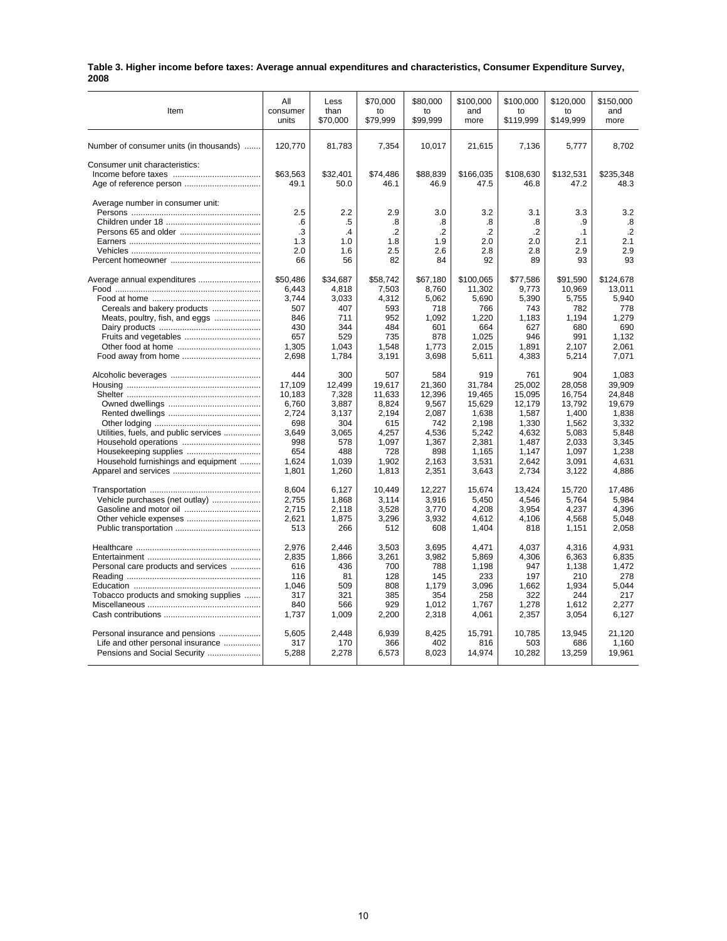|      | Table 3. Higher income before taxes: Average annual expenditures and characteristics, Consumer Expenditure Survey, |  |
|------|--------------------------------------------------------------------------------------------------------------------|--|
| 2008 |                                                                                                                    |  |

| Item                                    | All                    | Less                              | \$70,000                       | \$80,000                    | \$100,000                   | \$100,000                      | \$120,000              | \$150,000                      |
|-----------------------------------------|------------------------|-----------------------------------|--------------------------------|-----------------------------|-----------------------------|--------------------------------|------------------------|--------------------------------|
|                                         | consumer               | than                              | to                             | to                          | and                         | to                             | to                     | and                            |
|                                         | units                  | \$70,000                          | \$79,999                       | \$99,999                    | more                        | \$119,999                      | \$149,999              | more                           |
| Number of consumer units (in thousands) | 120,770                | 81,783                            | 7,354                          | 10,017                      | 21,615                      | 7,136                          | 5,777                  | 8,702                          |
| Consumer unit characteristics:          | \$63.563<br>49.1       | \$32.401<br>50.0                  | \$74.486<br>46.1               | \$88.839<br>46.9            | \$166.035<br>47.5           | \$108.630<br>46.8              | \$132.531<br>47.2      | \$235.348<br>48.3              |
| Average number in consumer unit:        | 2.5<br>.6<br>.3<br>1.3 | 2.2<br>.5<br>$\mathcal{A}$<br>1.0 | 2.9<br>.8<br>$\cdot$ .2<br>1.8 | 3.0<br>.8<br>$\cdot$<br>1.9 | 3.2<br>.8<br>$\cdot$<br>2.0 | 3.1<br>.8<br>$\cdot$ .2<br>2.0 | 3.3<br>.9<br>.1<br>2.1 | 3.2<br>.8<br>$\cdot$ .2<br>2.1 |
|                                         | 2.0                    | 1.6                               | 2.5                            | 2.6                         | 2.8                         | 2.8                            | 2.9                    | 2.9                            |
|                                         | 66                     | 56                                | 82                             | 84                          | 92                          | 89                             | 93                     | 93                             |
| Average annual expenditures             | \$50,486               | \$34,687                          | \$58,742                       | \$67,180                    | \$100,065                   | \$77,586                       | \$91,590               | \$124,678                      |
|                                         | 6.443                  | 4.818                             | 7.503                          | 8.760                       | 11.302                      | 9.773                          | 10.969                 | 13.011                         |
|                                         | 3,744                  | 3,033                             | 4,312                          | 5,062                       | 5,690                       | 5,390                          | 5,755                  | 5,940                          |
| Cereals and bakery products             | 507                    | 407                               | 593                            | 718                         | 766                         | 743                            | 782                    | 778                            |
| Meats, poultry, fish, and eggs          | 846                    | 711                               | 952                            | 1,092                       | 1,220                       | 1,183                          | 1,194                  | 1,279                          |
|                                         | 430                    | 344                               | 484                            | 601                         | 664                         | 627                            | 680                    | 690                            |
|                                         | 657                    | 529                               | 735                            | 878                         | 1,025                       | 946                            | 991                    | 1,132                          |
|                                         | 1,305                  | 1.043                             | 1.548                          | 1.773                       | 2.015                       | 1.891                          | 2.107                  | 2.061                          |
|                                         | 2,698                  | 1,784                             | 3,191                          | 3,698                       | 5,611                       | 4,383                          | 5,214                  | 7,071                          |
|                                         | 444                    | 300                               | 507                            | 584                         | 919                         | 761                            | 904                    | 1,083                          |
|                                         | 17,109                 | 12,499                            | 19,617                         | 21,360                      | 31,784                      | 25,002                         | 28,058                 | 39,909                         |
|                                         | 10,183                 | 7,328                             | 11,633                         | 12,396                      | 19,465                      | 15,095                         | 16,754                 | 24,848                         |
|                                         | 6,760                  | 3,887                             | 8,824                          | 9,567                       | 15,629                      | 12,179                         | 13,792                 | 19,679                         |
|                                         | 2,724                  | 3,137                             | 2,194                          | 2,087                       | 1,638                       | 1,587                          | 1,400                  | 1,838                          |
|                                         | 698                    | 304                               | 615                            | 742                         | 2,198                       | 1,330                          | 1,562                  | 3,332                          |
| Utilities, fuels, and public services   | 3,649                  | 3,065                             | 4,257                          | 4,536                       | 5,242                       | 4,632                          | 5,083                  | 5,848                          |
|                                         | 998                    | 578                               | 1,097                          | 1,367                       | 2,381                       | 1,487                          | 2,033                  | 3,345                          |
|                                         | 654                    | 488                               | 728                            | 898                         | 1,165                       | 1,147                          | 1,097                  | 1,238                          |
| Household furnishings and equipment     | 1,624                  | 1,039                             | 1,902                          | 2,163                       | 3,531                       | 2,642                          | 3,091                  | 4,631                          |
|                                         | 1,801                  | 1,260                             | 1,813                          | 2,351                       | 3,643                       | 2,734                          | 3,122                  | 4,886                          |
|                                         | 8,604                  | 6,127                             | 10,449                         | 12,227                      | 15,674                      | 13,424                         | 15,720                 | 17,486                         |
| Vehicle purchases (net outlay)          | 2.755                  | 1,868                             | 3,114                          | 3.916                       | 5.450                       | 4,546                          | 5,764                  | 5,984                          |
|                                         | 2,715                  | 2,118                             | 3,528                          | 3,770                       | 4,208                       | 3,954                          | 4,237                  | 4,396                          |
|                                         | 2.621                  | 1,875                             | 3,296                          | 3,932                       | 4,612                       | 4,106                          | 4.568                  | 5.048                          |
|                                         | 513                    | 266                               | 512                            | 608                         | 1,404                       | 818                            | 1,151                  | 2,058                          |
|                                         | 2,976                  | 2,446                             | 3,503                          | 3,695                       | 4,471                       | 4,037                          | 4,316                  | 4,931                          |
|                                         | 2.835                  | 1,866                             | 3,261                          | 3,982                       | 5,869                       | 4,306                          | 6,363                  | 6,835                          |
| Personal care products and services     | 616                    | 436                               | 700                            | 788                         | 1,198                       | 947                            | 1,138                  | 1,472                          |
|                                         | 116                    | 81                                | 128                            | 145                         | 233                         | 197                            | 210                    | 278                            |
|                                         | 1,046                  | 509                               | 808                            | 1,179                       | 3,096                       | 1,662                          | 1,934                  | 5,044                          |
| Tobacco products and smoking supplies   | 317                    | 321                               | 385                            | 354                         | 258                         | 322                            | 244                    | 217                            |
|                                         | 840                    | 566                               | 929                            | 1,012                       | 1,767                       | 1,278                          | 1,612                  | 2,277                          |
|                                         | 1,737                  | 1,009                             | 2,200                          | 2,318                       | 4,061                       | 2,357                          | 3,054                  | 6,127                          |
| Personal insurance and pensions         | 5,605                  | 2.448                             | 6,939                          | 8,425                       | 15.791                      | 10,785                         | 13,945                 | 21,120                         |
| Life and other personal insurance       | 317                    | 170                               | 366                            | 402                         | 816                         | 503                            | 686                    | 1,160                          |
| Pensions and Social Security            | 5,288                  | 2,278                             | 6,573                          | 8,023                       | 14,974                      | 10,282                         | 13,259                 | 19,961                         |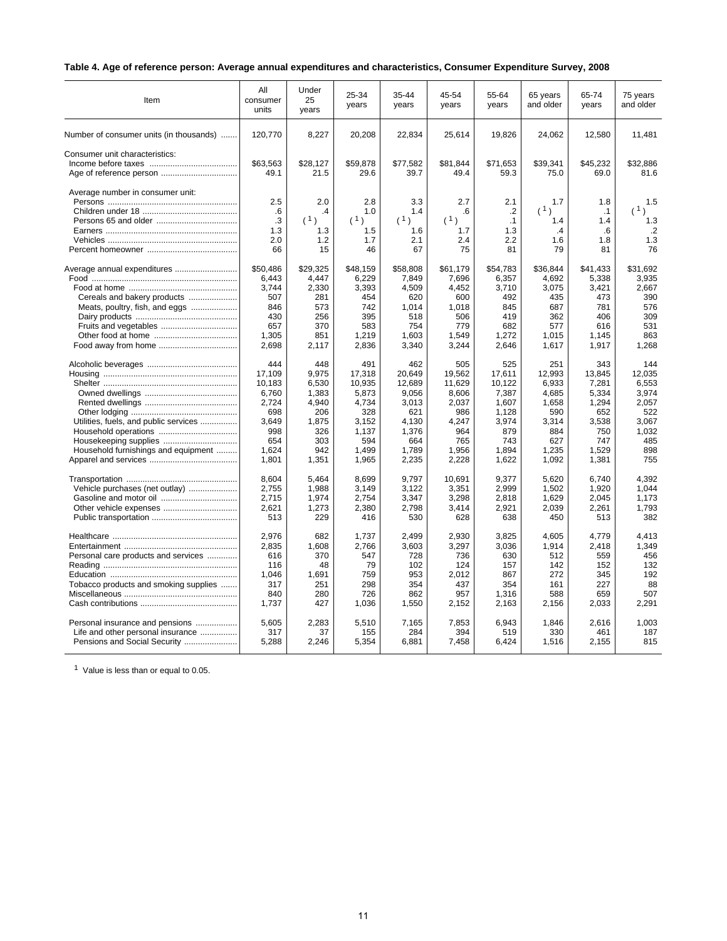# **Table 4. Age of reference person: Average annual expenditures and characteristics, Consumer Expenditure Survey, 2008**

| Item                                    | All<br>consumer<br>units | Under<br>25<br>years | 25-34<br>years   | 35-44<br>years   | 45-54<br>years   | 55-64<br>years   | 65 years<br>and older | 65-74<br>years   | 75 years<br>and older |
|-----------------------------------------|--------------------------|----------------------|------------------|------------------|------------------|------------------|-----------------------|------------------|-----------------------|
| Number of consumer units (in thousands) | 120,770                  | 8,227                | 20,208           | 22,834           | 25,614           | 19,826           | 24,062                | 12,580           | 11,481                |
| Consumer unit characteristics:          | \$63,563<br>49.1         | \$28,127<br>21.5     | \$59,878<br>29.6 | \$77,582<br>39.7 | \$81,844<br>49.4 | \$71,653<br>59.3 | \$39,341<br>75.0      | \$45,232<br>69.0 | \$32,886<br>81.6      |
| Average number in consumer unit:        | 2.5<br>.6                | 2.0<br>$\cdot$       | 2.8<br>1.0       | 3.3<br>1.4       | 2.7<br>.6        | 2.1<br>$\cdot$   | 1.7<br>(1)            | 1.8<br>.1        | 1.5<br>(1)            |
|                                         | $\cdot$ 3                | (1)                  | (1)              | (1)              | (1)              | .1               | 1.4                   | 1.4              | 1.3                   |
|                                         | 1.3                      | 1.3                  | 1.5              | 1.6              | 1.7              | 1.3              | .4                    | .6               | $\cdot$ .2            |
|                                         | 2.0                      | 1.2                  | 1.7              | 2.1              | 2.4              | 2.2              | 1.6                   | 1.8              | 1.3                   |
|                                         | 66                       | 15                   | 46               | 67               | 75               | 81               | 79                    | 81               | 76                    |
| Average annual expenditures             | \$50,486                 | \$29,325             | \$48,159         | \$58,808         | \$61,179         | \$54,783         | \$36,844              | \$41,433         | \$31,692              |
|                                         | 6.443                    | 4,447                | 6,229            | 7,849            | 7,696            | 6,357            | 4,692                 | 5,338            | 3,935                 |
|                                         | 3,744                    | 2,330                | 3,393            | 4,509            | 4,452            | 3,710            | 3,075                 | 3,421            | 2,667                 |
| Cereals and bakery products             | 507                      | 281                  | 454              | 620              | 600              | 492              | 435                   | 473              | 390                   |
| Meats, poultry, fish, and eggs          | 846                      | 573                  | 742              | 1,014            | 1,018            | 845              | 687                   | 781              | 576                   |
|                                         | 430                      | 256                  | 395              | 518              | 506              | 419              | 362                   | 406              | 309                   |
| Fruits and vegetables                   | 657                      | 370                  | 583              | 754              | 779              | 682              | 577                   | 616              | 531                   |
|                                         | 1,305                    | 851                  | 1,219            | 1,603            | 1,549            | 1,272            | 1,015                 | 1,145            | 863                   |
|                                         | 2,698                    | 2,117                | 2,836            | 3,340            | 3,244            | 2,646            | 1,617                 | 1,917            | 1,268                 |
|                                         | 444                      | 448                  | 491              | 462              | 505              | 525              | 251                   | 343              | 144                   |
|                                         | 17.109                   | 9.975                | 17,318           | 20.649           | 19.562           | 17.611           | 12.993                | 13.845           | 12.035                |
|                                         | 10,183                   | 6,530                | 10,935           | 12,689           | 11,629           | 10,122           | 6,933                 | 7,281            | 6,553                 |
|                                         | 6,760                    | 1.383                | 5.873            | 9.056            | 8.606            | 7.387            | 4.685                 | 5,334            | 3.974                 |
|                                         | 2,724                    | 4,940                | 4,734            | 3,013            | 2,037            | 1,607            | 1,658                 | 1,294            | 2,057                 |
|                                         | 698                      | 206                  | 328              | 621              | 986              | 1.128            | 590                   | 652              | 522                   |
| Utilities, fuels, and public services   | 3,649                    | 1,875                | 3,152            | 4,130            | 4,247            | 3,974            | 3,314                 | 3,538            | 3,067                 |
|                                         | 998                      | 326                  | 1,137            | 1,376            | 964              | 879              | 884                   | 750              | 1,032                 |
|                                         | 654                      | 303                  | 594              | 664              | 765              | 743              | 627                   | 747              | 485                   |
| Household furnishings and equipment     | 1,624                    | 942                  | 1,499            | 1,789            | 1,956            | 1,894            | 1,235                 | 1,529            | 898                   |
|                                         | 1,801                    | 1,351                | 1,965            | 2,235            | 2,228            | 1,622            | 1,092                 | 1,381            | 755                   |
|                                         | 8.604                    | 5.464                | 8.699            | 9.797            | 10.691           | 9.377            | 5.620                 | 6.740            | 4.392                 |
| Vehicle purchases (net outlay)          | 2,755                    | 1,988                | 3,149            | 3,122            | 3,351            | 2,999            | 1,502                 | 1,920            | 1,044                 |
|                                         | 2,715                    | 1,974                | 2,754            | 3,347            | 3,298            | 2,818            | 1,629                 | 2,045            | 1,173                 |
|                                         | 2,621                    | 1,273                | 2,380            | 2,798            | 3,414            | 2,921            | 2,039                 | 2,261            | 1,793                 |
|                                         | 513                      | 229                  | 416              | 530              | 628              | 638              | 450                   | 513              | 382                   |
|                                         | 2,976                    | 682                  | 1,737            | 2,499            | 2,930            | 3,825            | 4,605                 | 4,779            | 4.413                 |
|                                         | 2,835                    | 1,608                | 2,766            | 3,603            | 3,297            | 3,036            | 1,914                 | 2,418            | 1,349                 |
| Personal care products and services     | 616                      | 370                  | 547              | 728              | 736              | 630              | 512                   | 559              | 456                   |
|                                         | 116                      | 48                   | 79               | 102              | 124              | 157              | 142                   | 152              | 132                   |
|                                         | 1.046                    | 1,691                | 759              | 953              | 2,012            | 867              | 272                   | 345              | 192                   |
| Tobacco products and smoking supplies   | 317                      | 251                  | 298              | 354              | 437              | 354              | 161                   | 227              | 88                    |
|                                         | 840                      | 280                  | 726              | 862              | 957              | 1,316            | 588                   | 659              | 507                   |
|                                         | 1,737                    | 427                  | 1,036            | 1,550            | 2,152            | 2,163            | 2,156                 | 2,033            | 2,291                 |
| Personal insurance and pensions         | 5.605                    | 2,283                | 5,510            | 7,165            | 7,853            | 6.943            | 1,846                 | 2,616            | 1.003                 |
| Life and other personal insurance       | 317                      | 37                   | 155              | 284              | 394              | 519              | 330                   | 461              | 187                   |
| Pensions and Social Security            | 5,288                    | 2,246                | 5,354            | 6,881            | 7,458            | 6,424            | 1,516                 | 2,155            | 815                   |

<sup>1</sup> Value is less than or equal to 0.05.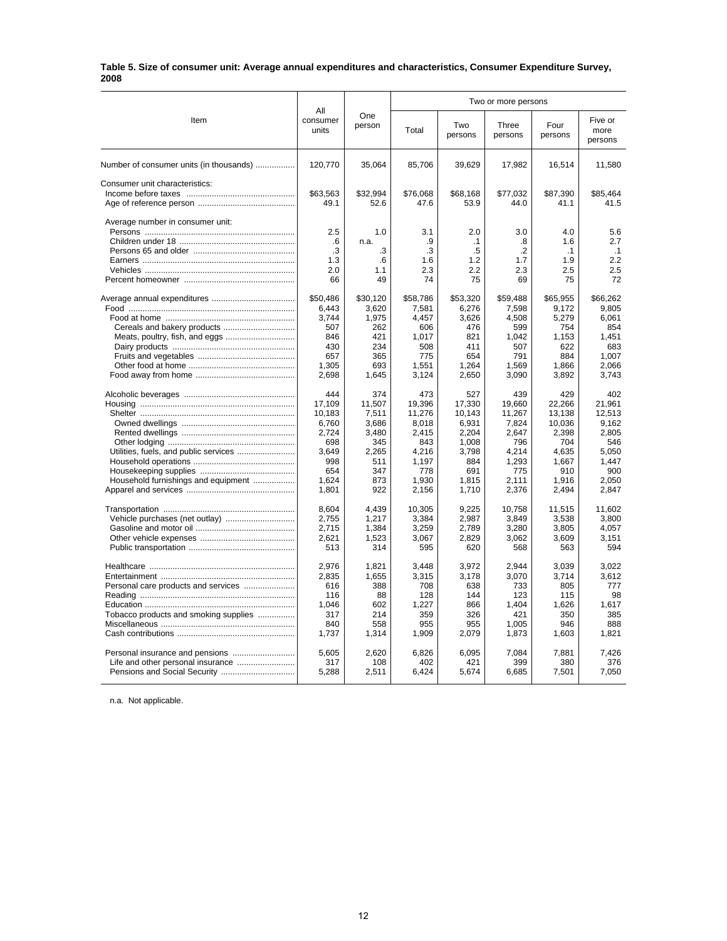#### **Table 5. Size of consumer unit: Average annual expenditures and characteristics, Consumer Expenditure Survey, 2008**

|                                         |                          |               | Two or more persons |                |                  |                 |                            |
|-----------------------------------------|--------------------------|---------------|---------------------|----------------|------------------|-----------------|----------------------------|
| Item                                    | All<br>consumer<br>units | One<br>person | Total               | Two<br>persons | Three<br>persons | Four<br>persons | Five or<br>more<br>persons |
| Number of consumer units (in thousands) | 120,770                  | 35,064        | 85,706              | 39,629         | 17,982           | 16,514          | 11,580                     |
| Consumer unit characteristics:          |                          |               |                     |                |                  |                 |                            |
|                                         | \$63,563                 | \$32,994      | \$76,068            | \$68,168       | \$77,032         | \$87,390        | \$85.464                   |
|                                         | 49.1                     | 52.6          | 47.6                | 53.9           | 44.0             | 41.1            | 41.5                       |
| Average number in consumer unit:        |                          |               |                     |                |                  |                 |                            |
|                                         | 2.5                      | 1.0           | 3.1                 | 2.0            | 3.0              | 4.0             | 5.6                        |
|                                         | .6                       | n.a.          | .9                  | $\cdot$ 1      | .8               | 1.6             | 2.7                        |
|                                         | .3                       | .3            | .3                  | .5             | .2               | $\cdot$ 1       | $\cdot$ 1                  |
|                                         | 1.3                      | .6            | 1.6                 | 1.2            | 1.7              | 1.9             | 2.2                        |
|                                         | 2.0                      | 1.1           | 2.3                 | 2.2            | 2.3              | 2.5             | 2.5                        |
|                                         | 66                       | 49            | 74                  | 75             | 69               | 75              | 72                         |
|                                         | \$50,486                 | \$30,120      | \$58,786            | \$53,320       | \$59,488         | \$65,955        | \$66,262                   |
|                                         | 6,443                    | 3,620         | 7,581               | 6,276          | 7,598            | 9,172           | 9,805                      |
|                                         | 3,744                    | 1,975         | 4,457               | 3,626          | 4,508            | 5,279           | 6,061                      |
|                                         | 507                      | 262           | 606                 | 476            | 599              | 754             | 854                        |
|                                         | 846                      | 421           | 1,017               | 821            | 1.042            | 1,153           | 1.451                      |
|                                         | 430                      | 234           | 508                 | 411            | 507              | 622             | 683                        |
|                                         | 657                      | 365           | 775                 | 654            | 791              | 884             | 1.007                      |
|                                         | 1,305                    | 693           | 1,551               | 1,264          | 1,569            | 1,866           | 2,066                      |
|                                         | 2,698                    | 1,645         | 3,124               | 2,650          | 3,090            | 3,892           | 3,743                      |
|                                         | 444                      | 374           | 473                 | 527            | 439              | 429             | 402                        |
|                                         | 17,109                   | 11,507        | 19,396              | 17,330         | 19,660           | 22,266          | 21,961                     |
|                                         | 10.183                   | 7,511         | 11,276              | 10.143         | 11.267           | 13.138          | 12.513                     |
|                                         | 6,760                    | 3,686         | 8,018               | 6,931          | 7,824            | 10,036          | 9,162                      |
|                                         | 2,724                    | 3,480         | 2,415               | 2,204          | 2,647            | 2,398           | 2,805                      |
|                                         | 698                      | 345           | 843                 | 1,008          | 796              | 704             | 546                        |
|                                         | 3,649                    | 2,265         | 4,216               | 3,798          | 4,214            | 4,635           | 5.050                      |
|                                         | 998                      | 511           | 1,197               | 884            | 1,293            | 1,667           | 1,447                      |
|                                         | 654                      | 347           | 778                 | 691            | 775              | 910             | 900                        |
| Household furnishings and equipment     | 1,624                    | 873           | 1,930               | 1,815          | 2,111            | 1,916           | 2,050                      |
|                                         | 1,801                    | 922           | 2,156               | 1,710          | 2,376            | 2,494           | 2,847                      |
|                                         | 8.604                    | 4.439         | 10,305              | 9.225          | 10.758           | 11.515          | 11.602                     |
|                                         | 2,755                    | 1,217         | 3,384               | 2,987          | 3,849            | 3,538           | 3,800                      |
|                                         | 2,715                    | 1,384         | 3,259               | 2,789          | 3,280            | 3,805           | 4,057                      |
|                                         | 2,621                    | 1,523         | 3,067               | 2,829          | 3,062            | 3,609           | 3,151                      |
|                                         | 513                      | 314           | 595                 | 620            | 568              | 563             | 594                        |
|                                         | 2.976                    | 1,821         | 3.448               | 3.972          | 2.944            | 3.039           | 3.022                      |
|                                         | 2.835                    | 1.655         | 3,315               | 3.178          | 3.070            | 3.714           | 3.612                      |
| Personal care products and services     | 616                      | 388           | 708                 | 638            | 733              | 805             | 777                        |
|                                         | 116                      | 88            | 128                 | 144            | 123              | 115             | 98                         |
|                                         | 1,046                    | 602           | 1,227               | 866            | 1,404            | 1,626           | 1,617                      |
| Tobacco products and smoking supplies   | 317                      | 214           | 359                 | 326            | 421              | 350             | 385                        |
|                                         | 840                      | 558           | 955                 | 955            | 1,005            | 946             | 888                        |
|                                         | 1,737                    | 1,314         | 1,909               | 2,079          | 1,873            | 1,603           | 1.821                      |
|                                         | 5,605                    | 2.620         | 6,826               | 6,095          | 7.084            | 7,881           | 7.426                      |
| Life and other personal insurance       | 317                      | 108           | 402                 | 421            | 399              | 380             | 376                        |
| Pensions and Social Security            | 5,288                    | 2,511         | 6,424               | 5,674          | 6,685            | 7,501           | 7,050                      |
|                                         |                          |               |                     |                |                  |                 |                            |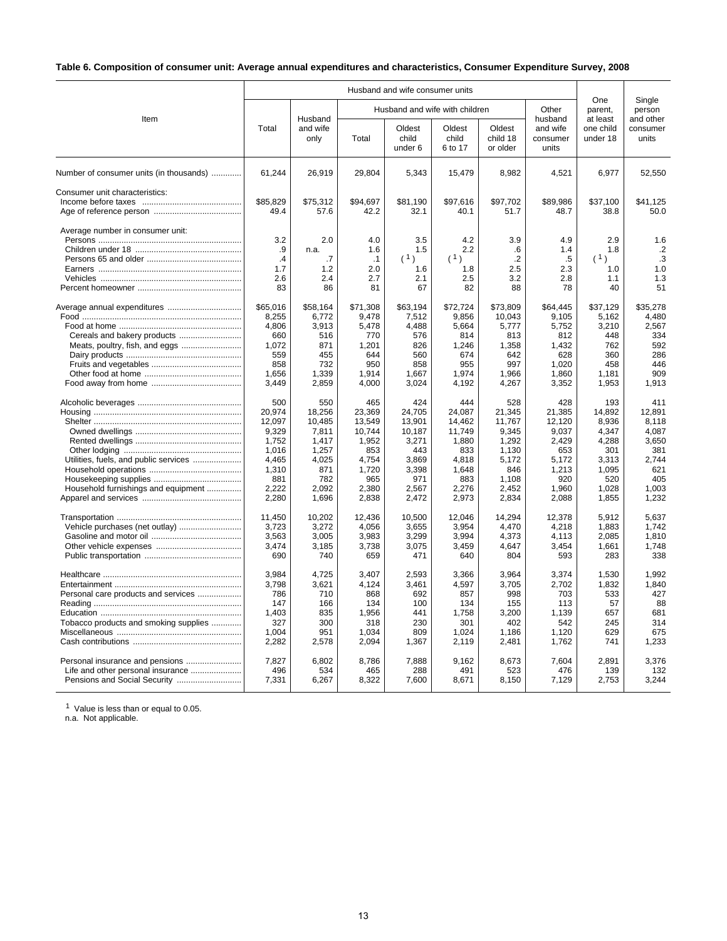# **Table 6. Composition of consumer unit: Average annual expenditures and characteristics, Consumer Expenditure Survey, 2008**

|                                         |                   |                   |                   | Husband and wife consumer units |                                |                                |                                          |                                   |                                |
|-----------------------------------------|-------------------|-------------------|-------------------|---------------------------------|--------------------------------|--------------------------------|------------------------------------------|-----------------------------------|--------------------------------|
|                                         |                   | Husband           |                   |                                 | Husband and wife with children |                                | Other                                    | One<br>parent,                    | Single<br>person               |
| Item                                    | Total             | and wife<br>only  | Total             | Oldest<br>child<br>under 6      | Oldest<br>child<br>6 to 17     | Oldest<br>child 18<br>or older | husband<br>and wife<br>consumer<br>units | at least<br>one child<br>under 18 | and other<br>consumer<br>units |
| Number of consumer units (in thousands) | 61,244            | 26,919            | 29,804            | 5,343                           | 15,479                         | 8,982                          | 4,521                                    | 6,977                             | 52,550                         |
| Consumer unit characteristics:          | \$85,829          | \$75,312          | \$94,697          | \$81,190                        | \$97,616                       | \$97,702                       | \$89,986                                 | \$37,100                          | \$41,125                       |
|                                         | 49.4              | 57.6              | 42.2              | 32.1                            | 40.1                           | 51.7                           | 48.7                                     | 38.8                              | 50.0                           |
| Average number in consumer unit:        |                   |                   |                   |                                 |                                |                                |                                          |                                   |                                |
|                                         | 3.2               | 2.0               | 4.0               | 3.5                             | 4.2                            | 3.9                            | 4.9                                      | 2.9                               | 1.6                            |
|                                         | .9                | n.a.              | 1.6               | 1.5                             | 2.2                            | .6                             | 1.4                                      | 1.8                               | $\cdot$                        |
|                                         | .4                | .7                | $\cdot$ 1         | (1)                             | (1)                            | $\cdot$ .2                     | .5                                       | (1)                               | .3                             |
|                                         | 1.7               | 1.2               | 2.0               | 1.6                             | 1.8                            | 2.5                            | 2.3                                      | 1.0                               | 1.0                            |
|                                         | 2.6               | 2.4               | 2.7               | 2.1                             | 2.5                            | 3.2                            | 2.8                                      | 1.1                               | 1.3                            |
|                                         | 83                | 86                | 81                | 67                              | 82                             | 88                             | 78                                       | 40                                | 51                             |
|                                         | \$65,016<br>8,255 | \$58,164<br>6,772 | \$71,308<br>9,478 | \$63,194<br>7,512               | \$72,724<br>9.856              | \$73,809<br>10.043             | \$64,445<br>9,105                        | \$37,129<br>5,162                 | \$35,278<br>4,480              |
|                                         | 4.806             | 3,913             | 5,478             | 4,488                           | 5.664                          | 5,777                          | 5,752                                    | 3,210                             | 2,567                          |
|                                         | 660               | 516               | 770               | 576                             | 814                            | 813                            | 812                                      | 448                               | 334                            |
|                                         | 1,072             | 871               | 1,201             | 826                             | 1,246                          | 1,358                          | 1,432                                    | 762                               | 592                            |
| Meats, poultry, fish, and eggs          | 559               | 455               | 644               | 560                             | 674                            | 642                            | 628                                      | 360                               | 286                            |
|                                         | 858               | 732               | 950               | 858                             | 955                            | 997                            | 1,020                                    | 458                               | 446                            |
|                                         | 1,656             | 1.339             | 1.914             | 1,667                           | 1.974                          | 1.966                          | 1,860                                    | 1.181                             | 909                            |
|                                         | 3,449             |                   | 4,000             | 3,024                           |                                |                                |                                          |                                   | 1,913                          |
|                                         |                   | 2,859             |                   |                                 | 4,192                          | 4,267                          | 3,352                                    | 1,953                             |                                |
|                                         | 500               | 550               | 465               | 424                             | 444                            | 528                            | 428                                      | 193                               | 411                            |
|                                         | 20,974            | 18,256            | 23,369            | 24,705                          | 24,087                         | 21,345                         | 21,385                                   | 14,892                            | 12,891                         |
|                                         | 12,097            | 10,485            | 13,549            | 13,901                          | 14,462                         | 11,767                         | 12,120                                   | 8,936                             | 8,118                          |
|                                         | 9.329             | 7.811             | 10.744            | 10.187                          | 11.749                         | 9.345                          | 9.037                                    | 4.347                             | 4.087                          |
|                                         | 1,752             | 1,417             | 1,952             | 3,271                           | 1,880                          | 1,292                          | 2,429                                    | 4,288                             | 3,650                          |
|                                         | 1,016             | 1,257             | 853               | 443                             | 833                            | 1,130                          | 653                                      | 301                               | 381                            |
| Utilities, fuels, and public services   | 4,465             | 4,025             | 4,754             | 3,869                           | 4,818                          | 5,172                          | 5,172                                    | 3,313                             | 2.744                          |
|                                         | 1,310             | 871               | 1,720             | 3,398                           | 1,648                          | 846                            | 1,213                                    | 1,095                             | 621                            |
|                                         | 881               | 782               | 965               | 971                             | 883                            | 1,108                          | 920                                      | 520                               | 405                            |
| Household furnishings and equipment     | 2,222             | 2.092             | 2,380             | 2,567                           | 2,276                          | 2,452                          | 1,960                                    | 1,028                             | 1,003                          |
|                                         | 2,280             | 1,696             | 2,838             | 2,472                           | 2,973                          | 2,834                          | 2,088                                    | 1,855                             | 1,232                          |
|                                         | 11,450            | 10,202            | 12,436            | 10,500                          | 12,046                         | 14,294                         | 12,378                                   | 5,912                             | 5.637                          |
|                                         | 3,723             | 3,272             | 4,056             | 3,655                           | 3,954                          | 4,470                          | 4,218                                    | 1,883                             | 1,742                          |
|                                         | 3,563             | 3.005             | 3,983             | 3,299                           | 3,994                          | 4.373                          | 4.113                                    | 2.085                             | 1.810                          |
|                                         | 3,474             | 3,185             | 3,738             | 3,075                           | 3,459                          | 4,647                          | 3,454                                    | 1,661                             | 1,748                          |
|                                         | 690               | 740               | 659               | 471                             | 640                            | 804                            | 593                                      | 283                               | 338                            |
|                                         | 3,984             | 4,725             | 3,407             | 2,593                           | 3,366                          | 3,964                          | 3,374                                    | 1,530                             | 1,992                          |
|                                         | 3,798             | 3,621             | 4,124             | 3,461                           | 4,597                          | 3,705                          | 2,702                                    | 1,832                             | 1,840                          |
| Personal care products and services     | 786               | 710               | 868               | 692                             | 857                            | 998                            | 703                                      | 533                               | 427                            |
|                                         | 147               | 166               | 134               | 100                             | 134                            | 155                            | 113                                      | 57                                | 88                             |
|                                         | 1,403             | 835               | 1,956             | 441                             | 1,758                          | 3,200                          | 1,139                                    | 657                               | 681                            |
| Tobacco products and smoking supplies   | 327               | 300               | 318               | 230                             | 301                            | 402                            | 542                                      | 245                               | 314                            |
|                                         | 1,004             | 951               | 1,034             | 809                             | 1,024                          | 1,186                          | 1,120                                    | 629                               | 675                            |
|                                         | 2,282             | 2,578             | 2,094             | 1,367                           | 2,119                          | 2,481                          | 1,762                                    | 741                               | 1,233                          |
|                                         | 7,827             | 6,802             | 8,786             | 7,888                           | 9,162                          | 8,673                          | 7,604                                    | 2,891                             | 3,376                          |
| Life and other personal insurance       | 496               | 534               | 465               | 288                             | 491                            | 523                            | 476                                      | 139                               | 132                            |
|                                         | 7,331             | 6,267             | 8,322             | 7,600                           | 8,671                          | 8,150                          | 7,129                                    | 2,753                             | 3,244                          |
|                                         |                   |                   |                   |                                 |                                |                                |                                          |                                   |                                |

<sup>1</sup> Value is less than or equal to 0.05.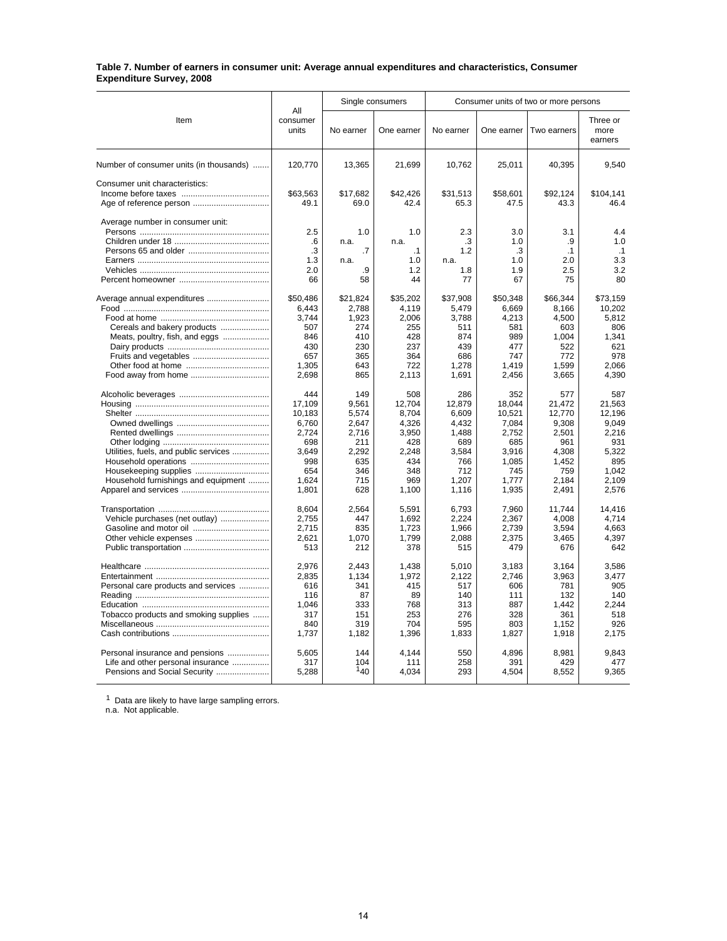#### **Table 7. Number of earners in consumer unit: Average annual expenditures and characteristics, Consumer Expenditure Survey, 2008**

|                                         |                          |           | Single consumers | Consumer units of two or more persons |            |             |                             |  |
|-----------------------------------------|--------------------------|-----------|------------------|---------------------------------------|------------|-------------|-----------------------------|--|
| Item                                    | All<br>consumer<br>units | No earner | One earner       | No earner                             | One earner | Two earners | Three or<br>more<br>earners |  |
| Number of consumer units (in thousands) | 120,770                  | 13,365    | 21,699           | 10,762                                | 25,011     | 40,395      | 9,540                       |  |
| Consumer unit characteristics:          |                          |           |                  |                                       |            |             |                             |  |
|                                         | \$63,563                 | \$17,682  | \$42,426         | \$31,513                              | \$58.601   | \$92,124    | \$104.141                   |  |
| Age of reference person                 | 49.1                     | 69.0      | 42.4             | 65.3                                  | 47.5       | 43.3        | 46.4                        |  |
| Average number in consumer unit:        |                          |           |                  |                                       |            |             |                             |  |
|                                         | 2.5                      | 1.0       | 1.0              | 2.3                                   | 3.0        | 3.1         | 4.4                         |  |
|                                         | .6                       | n.a.      | n.a.             | .3                                    | 1.0        | .9          | 1.0                         |  |
|                                         | .3                       | .7        | $\cdot$ 1        | 1.2                                   | .3         | $\cdot$ 1   | $\cdot$ 1                   |  |
|                                         | 1.3                      | n.a.      | 1.0              | n.a.                                  | 1.0        | 2.0         | 3.3                         |  |
|                                         | 2.0                      | .9        | 1.2              | 1.8                                   | 1.9        | 2.5         | 3.2                         |  |
|                                         | 66                       | 58        | 44               | 77                                    | 67         | 75          | 80                          |  |
| Average annual expenditures             | \$50,486                 | \$21.824  | \$35,202         | \$37,908                              | \$50.348   | \$66,344    | \$73,159                    |  |
|                                         | 6,443                    | 2,788     | 4,119            | 5,479                                 | 6,669      | 8,166       | 10,202                      |  |
|                                         | 3,744                    | 1,923     | 2,006            | 3,788                                 | 4,213      | 4,500       | 5,812                       |  |
| Cereals and bakery products             | 507                      | 274       | 255              | 511                                   | 581        | 603         | 806                         |  |
| Meats, poultry, fish, and eggs          | 846                      | 410       | 428              | 874                                   | 989        | 1,004       | 1,341                       |  |
|                                         | 430                      | 230       | 237              | 439                                   | 477        | 522         | 621                         |  |
|                                         | 657                      | 365       | 364              | 686                                   | 747        | 772         | 978                         |  |
|                                         | 1,305                    | 643       | 722              | 1,278                                 | 1,419      | 1,599       | 2,066                       |  |
|                                         | 2,698                    | 865       | 2,113            | 1,691                                 | 2,456      | 3,665       | 4,390                       |  |
|                                         | 444                      | 149       | 508              | 286                                   | 352        | 577         | 587                         |  |
|                                         | 17,109                   | 9.561     | 12,704           | 12,879                                | 18.044     | 21.472      | 21.563                      |  |
|                                         | 10,183                   | 5,574     | 8,704            | 6,609                                 | 10,521     | 12.770      | 12.196                      |  |
|                                         | 6,760                    | 2,647     | 4,326            | 4,432                                 | 7,084      | 9,308       | 9,049                       |  |
|                                         | 2,724                    | 2,716     | 3,950            | 1.488                                 | 2,752      | 2,501       | 2.216                       |  |
|                                         | 698                      | 211       | 428              | 689                                   | 685        | 961         | 931                         |  |
| Utilities, fuels, and public services   | 3,649                    | 2,292     | 2,248            | 3,584                                 | 3,916      | 4,308       | 5,322                       |  |
|                                         | 998                      | 635       | 434              | 766                                   | 1,085      | 1,452       | 895                         |  |
| Housekeeping supplies                   | 654                      | 346       | 348              | 712                                   | 745        | 759         | 1.042                       |  |
| Household furnishings and equipment     | 1,624                    | 715       | 969              | 1,207                                 | 1,777      | 2,184       | 2,109                       |  |
|                                         | 1,801                    | 628       | 1,100            | 1,116                                 | 1,935      | 2,491       | 2,576                       |  |
|                                         | 8,604                    | 2,564     | 5,591            | 6,793                                 | 7,960      | 11,744      | 14,416                      |  |
| Vehicle purchases (net outlay)          | 2,755                    | 447       | 1,692            | 2,224                                 | 2.367      | 4.008       | 4.714                       |  |
|                                         | 2,715                    | 835       | 1,723            | 1,966                                 | 2,739      | 3,594       | 4,663                       |  |
|                                         | 2.621                    | 1,070     | 1,799            | 2,088                                 | 2.375      | 3,465       | 4.397                       |  |
|                                         | 513                      | 212       | 378              | 515                                   | 479        | 676         | 642                         |  |
|                                         | 2,976                    | 2.443     | 1,438            | 5,010                                 | 3,183      | 3,164       | 3,586                       |  |
|                                         | 2.835                    | 1.134     | 1,972            | 2.122                                 | 2.746      | 3.963       | 3.477                       |  |
| Personal care products and services     | 616                      | 341       | 415              | 517                                   | 606        | 781         | 905                         |  |
|                                         | 116                      | 87        | 89               | 140                                   | 111        | 132         | 140                         |  |
|                                         | 1,046                    | 333       | 768              | 313                                   | 887        | 1,442       | 2,244                       |  |
| Tobacco products and smoking supplies   | 317                      | 151       | 253              | 276                                   | 328        | 361         | 518                         |  |
|                                         | 840                      | 319       | 704              | 595                                   | 803        | 1,152       | 926                         |  |
|                                         | 1,737                    | 1,182     | 1,396            | 1,833                                 | 1,827      | 1,918       | 2.175                       |  |
| Personal insurance and pensions         | 5,605                    | 144       | 4,144            | 550                                   | 4,896      | 8,981       | 9,843                       |  |
| Life and other personal insurance       | 317                      | 104       | 111              | 258                                   | 391        | 429         | 477                         |  |
|                                         | 5,288                    | 140       | 4,034            | 293                                   | 4,504      | 8,552       | 9,365                       |  |
|                                         |                          |           |                  |                                       |            |             |                             |  |

 $1$  Data are likely to have large sampling errors.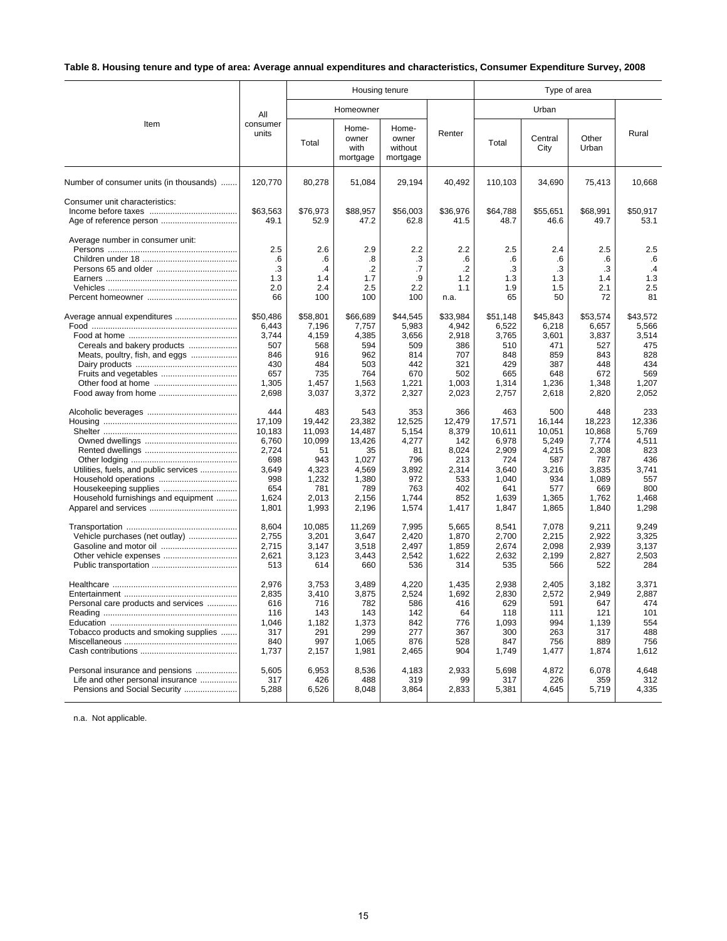# **Table 8. Housing tenure and type of area: Average annual expenditures and characteristics, Consumer Expenditure Survey, 2008**

|                                                                                                      |                                                                                           |                                                                                           | Housing tenure                                                                              |                                                                                       |                                                                                      | Type of area                                                                                |                                                                                           |                                                                                             |                                                                                        |  |
|------------------------------------------------------------------------------------------------------|-------------------------------------------------------------------------------------------|-------------------------------------------------------------------------------------------|---------------------------------------------------------------------------------------------|---------------------------------------------------------------------------------------|--------------------------------------------------------------------------------------|---------------------------------------------------------------------------------------------|-------------------------------------------------------------------------------------------|---------------------------------------------------------------------------------------------|----------------------------------------------------------------------------------------|--|
|                                                                                                      | All                                                                                       |                                                                                           | Homeowner                                                                                   |                                                                                       |                                                                                      |                                                                                             | Urban                                                                                     |                                                                                             |                                                                                        |  |
| Item                                                                                                 | consumer<br>units                                                                         | Total                                                                                     | Home-<br>owner<br>with<br>mortgage                                                          | Home-<br>owner<br>without<br>mortgage                                                 | Renter                                                                               | Total                                                                                       | Central<br>City                                                                           | Other<br>Urban                                                                              | Rural                                                                                  |  |
| Number of consumer units (in thousands)                                                              | 120,770                                                                                   | 80,278                                                                                    | 51,084                                                                                      | 29,194                                                                                | 40,492                                                                               | 110,103                                                                                     | 34,690                                                                                    | 75,413                                                                                      | 10,668                                                                                 |  |
| Consumer unit characteristics:                                                                       | \$63,563<br>49.1                                                                          | \$76,973<br>52.9                                                                          | \$88,957<br>47.2                                                                            | \$56,003<br>62.8                                                                      | \$36,976<br>41.5                                                                     | \$64,788<br>48.7                                                                            | \$55,651<br>46.6                                                                          | \$68,991<br>49.7                                                                            | \$50,917<br>53.1                                                                       |  |
| Average number in consumer unit:                                                                     | 2.5<br>.6<br>.3<br>1.3<br>2.0<br>66                                                       | 2.6<br>.6<br>$\mathcal{A}$<br>1.4<br>2.4<br>100                                           | 2.9<br>.8<br>$\cdot$<br>1.7<br>2.5<br>100                                                   | 2.2<br>.3<br>.7<br>.9<br>2.2<br>100                                                   | 2.2<br>.6<br>$\cdot$<br>1.2<br>1.1<br>n.a.                                           | 2.5<br>.6<br>.3<br>1.3<br>1.9<br>65                                                         | 2.4<br>.6<br>.3<br>1.3<br>1.5<br>50                                                       | 2.5<br>.6<br>.3<br>1.4<br>2.1<br>72                                                         | 2.5<br>.6<br>$\cdot$ 4<br>1.3<br>2.5<br>81                                             |  |
| Cereals and bakery products<br>Meats, poultry, fish, and eggs<br>Fruits and vegetables               | \$50,486<br>6,443<br>3.744<br>507<br>846<br>430<br>657<br>1,305<br>2,698                  | \$58,801<br>7,196<br>4.159<br>568<br>916<br>484<br>735<br>1,457<br>3,037                  | \$66,689<br>7,757<br>4,385<br>594<br>962<br>503<br>764<br>1,563<br>3,372                    | \$44,545<br>5,983<br>3,656<br>509<br>814<br>442<br>670<br>1,221<br>2,327              | \$33,984<br>4,942<br>2,918<br>386<br>707<br>321<br>502<br>1,003<br>2,023             | \$51.148<br>6,522<br>3,765<br>510<br>848<br>429<br>665<br>1,314<br>2,757                    | \$45,843<br>6,218<br>3,601<br>471<br>859<br>387<br>648<br>1,236<br>2,618                  | \$53,574<br>6,657<br>3,837<br>527<br>843<br>448<br>672<br>1,348<br>2,820                    | \$43,572<br>5,566<br>3,514<br>475<br>828<br>434<br>569<br>1,207<br>2,052               |  |
| Utilities, fuels, and public services<br>Household furnishings and equipment                         | 444<br>17,109<br>10,183<br>6,760<br>2,724<br>698<br>3,649<br>998<br>654<br>1,624<br>1,801 | 483<br>19,442<br>11.093<br>10,099<br>51<br>943<br>4,323<br>1,232<br>781<br>2,013<br>1,993 | 543<br>23,382<br>14.487<br>13,426<br>35<br>1,027<br>4,569<br>1,380<br>789<br>2,156<br>2,196 | 353<br>12,525<br>5.154<br>4,277<br>81<br>796<br>3,892<br>972<br>763<br>1,744<br>1,574 | 366<br>12,479<br>8,379<br>142<br>8,024<br>213<br>2,314<br>533<br>402<br>852<br>1,417 | 463<br>17,571<br>10.611<br>6,978<br>2,909<br>724<br>3,640<br>1.040<br>641<br>1,639<br>1,847 | 500<br>16.144<br>10.051<br>5,249<br>4,215<br>587<br>3,216<br>934<br>577<br>1,365<br>1,865 | 448<br>18,223<br>10.868<br>7,774<br>2,308<br>787<br>3,835<br>1,089<br>669<br>1,762<br>1,840 | 233<br>12,336<br>5.769<br>4,511<br>823<br>436<br>3,741<br>557<br>800<br>1,468<br>1,298 |  |
| Vehicle purchases (net outlay)<br>Gasoline and motor oil<br>Other vehicle expenses                   | 8,604<br>2,755<br>2,715<br>2,621<br>513                                                   | 10,085<br>3,201<br>3,147<br>3,123<br>614                                                  | 11,269<br>3,647<br>3,518<br>3,443<br>660                                                    | 7,995<br>2,420<br>2,497<br>2,542<br>536                                               | 5,665<br>1,870<br>1,859<br>1,622<br>314                                              | 8,541<br>2,700<br>2,674<br>2,632<br>535                                                     | 7,078<br>2,215<br>2,098<br>2,199<br>566                                                   | 9,211<br>2,922<br>2,939<br>2,827<br>522                                                     | 9.249<br>3.325<br>3,137<br>2.503<br>284                                                |  |
| Personal care products and services<br>Tobacco products and smoking supplies                         | 2,976<br>2,835<br>616<br>116<br>1,046<br>317<br>840<br>1,737                              | 3,753<br>3,410<br>716<br>143<br>1,182<br>291<br>997<br>2,157                              | 3,489<br>3,875<br>782<br>143<br>1,373<br>299<br>1,065<br>1,981                              | 4,220<br>2,524<br>586<br>142<br>842<br>277<br>876<br>2,465                            | 1,435<br>1,692<br>416<br>64<br>776<br>367<br>528<br>904                              | 2,938<br>2,830<br>629<br>118<br>1,093<br>300<br>847<br>1,749                                | 2,405<br>2,572<br>591<br>111<br>994<br>263<br>756<br>1,477                                | 3,182<br>2,949<br>647<br>121<br>1,139<br>317<br>889<br>1,874                                | 3,371<br>2,887<br>474<br>101<br>554<br>488<br>756<br>1,612                             |  |
| Personal insurance and pensions<br>Life and other personal insurance<br>Pensions and Social Security | 5.605<br>317<br>5,288                                                                     | 6,953<br>426<br>6,526                                                                     | 8,536<br>488<br>8,048                                                                       | 4,183<br>319<br>3,864                                                                 | 2.933<br>99<br>2,833                                                                 | 5.698<br>317<br>5,381                                                                       | 4,872<br>226<br>4,645                                                                     | 6,078<br>359<br>5,719                                                                       | 4,648<br>312<br>4,335                                                                  |  |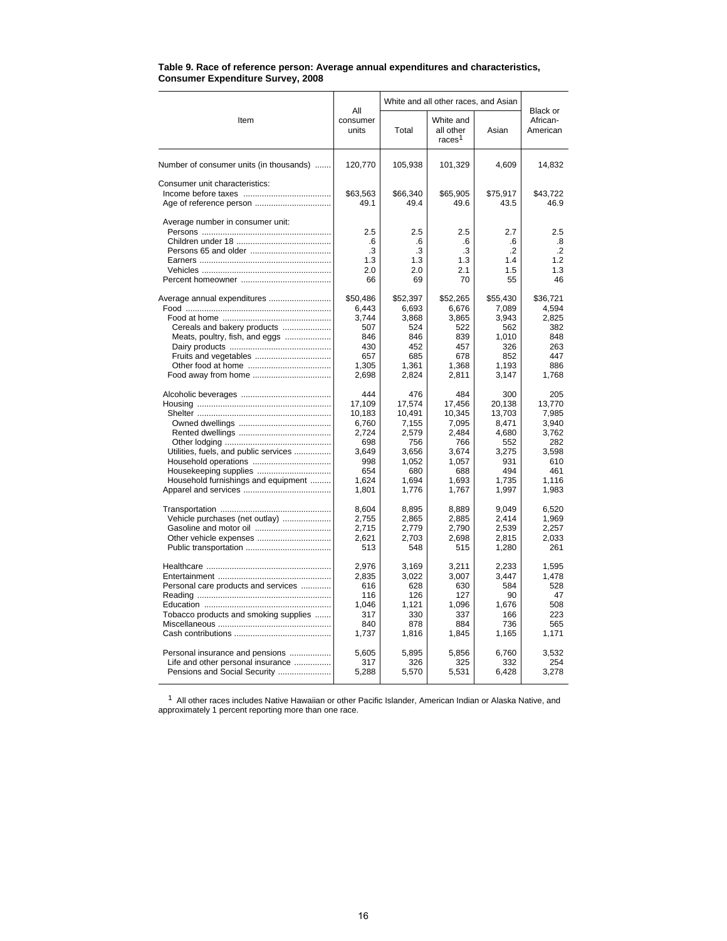|                                         |                                     | White and all other races, and Asian | Black or                                     |                                     |                                          |  |
|-----------------------------------------|-------------------------------------|--------------------------------------|----------------------------------------------|-------------------------------------|------------------------------------------|--|
| Item                                    | All<br>consumer<br>units            | Total                                | White and<br>all other<br>races <sup>1</sup> | Asian                               | African-<br>American                     |  |
| Number of consumer units (in thousands) | 120,770                             | 105,938                              | 101,329                                      | 4,609                               | 14,832                                   |  |
| Consumer unit characteristics:          | \$63,563<br>49.1                    | \$66,340<br>49.4                     | \$65,905<br>49.6                             | \$75,917<br>43.5                    | \$43,722<br>46.9                         |  |
| Average number in consumer unit:        | 2.5<br>.6<br>.3<br>1.3<br>2.0<br>66 | 2.5<br>.6<br>.3<br>1.3<br>2.0<br>69  | 2.5<br>.6<br>$\cdot$ 3<br>1.3<br>2.1<br>70   | 2.7<br>.6<br>.2<br>1.4<br>1.5<br>55 | 2.5<br>.8<br>$\cdot$<br>1.2<br>1.3<br>46 |  |
| Average annual expenditures             | \$50,486                            | \$52,397                             | \$52,265                                     | \$55,430                            | \$36,721                                 |  |
|                                         | 6,443                               | 6,693                                | 6,676                                        | 7,089                               | 4,594                                    |  |
|                                         | 3.744                               | 3,868                                | 3,865                                        | 3,943                               | 2,825                                    |  |
| Cereals and bakery products             | 507                                 | 524                                  | 522                                          | 562                                 | 382                                      |  |
| Meats, poultry, fish, and eggs          | 846                                 | 846                                  | 839                                          | 1,010                               | 848                                      |  |
|                                         | 430                                 | 452                                  | 457                                          | 326                                 | 263                                      |  |
| Fruits and vegetables                   | 657                                 | 685                                  | 678                                          | 852                                 | 447                                      |  |
|                                         | 1,305                               | 1.361                                | 1,368                                        | 1.193                               | 886                                      |  |
|                                         | 2,698                               | 2,824                                | 2,811                                        | 3,147                               | 1,768                                    |  |
|                                         | 444                                 | 476                                  | 484                                          | 300                                 | 205                                      |  |
|                                         | 17,109                              | 17,574                               | 17,456                                       | 20,138                              | 13,770                                   |  |
|                                         | 10,183                              | 10,491                               | 10,345                                       | 13,703                              | 7,985                                    |  |
|                                         | 6,760                               | 7,155                                | 7,095                                        | 8,471                               | 3,940                                    |  |
|                                         | 2,724                               | 2,579                                | 2,484                                        | 4,680                               | 3.762                                    |  |
|                                         | 698                                 | 756                                  | 766                                          | 552                                 | 282                                      |  |
| Utilities, fuels, and public services   | 3.649                               | 3.656                                | 3.674                                        | 3.275                               | 3.598                                    |  |
|                                         | 998                                 | 1,052                                | 1,057                                        | 931                                 | 610                                      |  |
|                                         | 654                                 | 680                                  | 688                                          | 494                                 | 461                                      |  |
| Household furnishings and equipment     | 1,624                               | 1,694                                | 1,693                                        | 1,735                               | 1,116                                    |  |
|                                         | 1,801                               | 1,776                                | 1,767                                        | 1,997                               | 1,983                                    |  |
|                                         | 8,604                               | 8,895                                | 8,889                                        | 9,049                               | 6,520                                    |  |
| Vehicle purchases (net outlay)          | 2,755                               | 2,865                                | 2,885                                        | 2,414                               | 1,969                                    |  |
|                                         | 2,715                               | 2,779                                | 2,790                                        | 2,539                               | 2,257                                    |  |
|                                         | 2,621                               | 2,703                                | 2,698                                        | 2,815                               | 2,033                                    |  |
|                                         | 513                                 | 548                                  | 515                                          | 1,280                               | 261                                      |  |
|                                         | 2.976                               | 3.169                                | 3.211                                        | 2,233                               | 1.595                                    |  |
|                                         | 2.835                               | 3.022                                | 3.007                                        | 3.447                               | 1.478                                    |  |
| Personal care products and services     | 616                                 | 628                                  | 630                                          | 584                                 | 528                                      |  |
|                                         | 116                                 | 126                                  | 127                                          | 90                                  | 47                                       |  |
|                                         | 1,046                               | 1,121                                | 1,096                                        | 1,676                               | 508                                      |  |
| Tobacco products and smoking supplies   | 317                                 | 330                                  | 337                                          | 166                                 | 223                                      |  |
|                                         | 840                                 | 878                                  | 884                                          | 736                                 | 565                                      |  |
|                                         | 1,737                               | 1,816                                | 1,845                                        | 1,165                               | 1,171                                    |  |
| Personal insurance and pensions         | 5,605                               | 5,895                                | 5,856                                        | 6,760                               | 3,532                                    |  |
| Life and other personal insurance       | 317                                 | 326                                  | 325                                          | 332                                 | 254                                      |  |
| Pensions and Social Security            | 5,288                               | 5,570                                | 5,531                                        | 6,428                               | 3,278                                    |  |

#### **Table 9. Race of reference person: Average annual expenditures and characteristics, Consumer Expenditure Survey, 2008**

 $1$  All other races includes Native Hawaiian or other Pacific Islander, American Indian or Alaska Native, and approximately 1 percent reporting more than one race.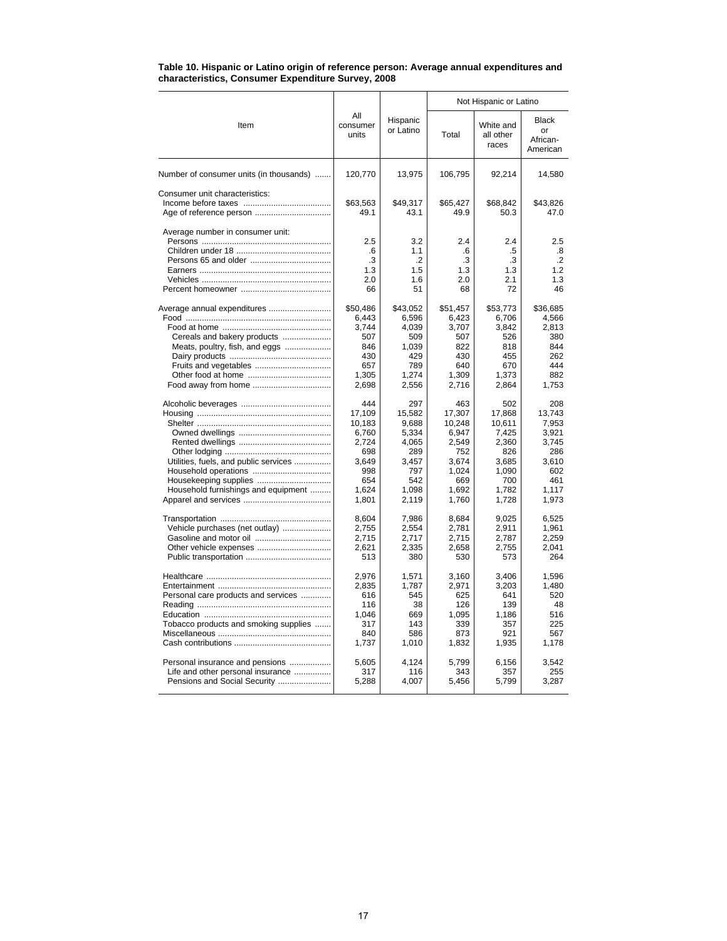|                                         |                                     |                                      | Not Hispanic or Latino              |                                     |                                          |  |  |
|-----------------------------------------|-------------------------------------|--------------------------------------|-------------------------------------|-------------------------------------|------------------------------------------|--|--|
| Item                                    | All<br>consumer<br>units            | Hispanic<br>or Latino                | Total                               | White and<br>all other<br>races     | Black<br>or<br>African-<br>American      |  |  |
| Number of consumer units (in thousands) | 120,770                             | 13,975                               | 106,795                             | 92,214                              | 14,580                                   |  |  |
| Consumer unit characteristics:          | \$63,563<br>49.1                    | \$49.317<br>43.1                     | \$65.427<br>49.9                    | \$68,842<br>50.3                    | \$43,826<br>47.0                         |  |  |
| Average number in consumer unit:        | 2.5<br>.6<br>.3<br>1.3<br>2.0<br>66 | 3.2<br>1.1<br>.2<br>1.5<br>1.6<br>51 | 2.4<br>.6<br>.3<br>1.3<br>2.0<br>68 | 2.4<br>.5<br>.3<br>1.3<br>2.1<br>72 | 2.5<br>.8<br>$\cdot$<br>1.2<br>1.3<br>46 |  |  |
| Average annual expenditures             | \$50,486                            | \$43,052                             | \$51,457                            | \$53,773                            | \$36,685                                 |  |  |
|                                         | 6,443                               | 6,596                                | 6,423                               | 6.706                               | 4,566                                    |  |  |
|                                         | 3,744                               | 4.039                                | 3,707                               | 3,842                               | 2.813                                    |  |  |
| Cereals and bakery products             | 507                                 | 509                                  | 507                                 | 526                                 | 380                                      |  |  |
| Meats, poultry, fish, and eggs          | 846                                 | 1,039                                | 822                                 | 818                                 | 844                                      |  |  |
|                                         | 430                                 | 429                                  | 430                                 | 455                                 | 262                                      |  |  |
| Fruits and vegetables                   | 657                                 | 789                                  | 640                                 | 670                                 | 444                                      |  |  |
|                                         | 1,305                               | 1,274                                | 1,309                               | 1,373                               | 882                                      |  |  |
| Food away from home                     | 2,698                               | 2,556                                | 2,716                               | 2,864                               | 1,753                                    |  |  |
|                                         | 444                                 | 297                                  | 463                                 | 502                                 | 208                                      |  |  |
|                                         | 17,109                              | 15.582                               | 17,307                              | 17.868                              | 13.743                                   |  |  |
|                                         | 10,183                              | 9,688                                | 10,248                              | 10,611                              | 7,953                                    |  |  |
|                                         | 6,760                               | 5,334                                | 6,947                               | 7,425                               | 3,921                                    |  |  |
|                                         | 2,724                               | 4,065                                | 2,549                               | 2,360                               | 3,745                                    |  |  |
|                                         | 698                                 | 289                                  | 752                                 | 826                                 | 286                                      |  |  |
| Utilities, fuels, and public services   | 3,649                               | 3,457                                | 3,674                               | 3,685                               | 3,610                                    |  |  |
|                                         | 998                                 | 797                                  | 1.024                               | 1.090                               | 602                                      |  |  |
|                                         | 654                                 | 542                                  | 669                                 | 700                                 | 461                                      |  |  |
| Household furnishings and equipment     | 1,624                               | 1.098                                | 1.692                               | 1.782                               | 1,117                                    |  |  |
|                                         | 1,801                               | 2,119                                | 1,760                               | 1,728                               | 1,973                                    |  |  |
|                                         | 8,604                               | 7,986                                | 8,684                               | 9,025                               | 6,525                                    |  |  |
| Vehicle purchases (net outlay)          | 2,755                               | 2,554                                | 2,781                               | 2,911                               | 1,961                                    |  |  |
|                                         | 2,715                               | 2.717                                | 2,715                               | 2.787                               | 2.259                                    |  |  |
|                                         | 2,621                               | 2,335                                | 2,658                               | 2,755                               | 2,041                                    |  |  |
|                                         | 513                                 | 380                                  | 530                                 | 573                                 | 264                                      |  |  |
|                                         | 2,976                               | 1,571                                | 3,160                               | 3,406                               | 1,596                                    |  |  |
|                                         | 2,835                               | 1,787                                | 2,971                               | 3,203                               | 1,480                                    |  |  |
| Personal care products and services     | 616                                 | 545                                  | 625                                 | 641                                 | 520                                      |  |  |
|                                         | 116                                 | 38                                   | 126                                 | 139                                 | 48                                       |  |  |
|                                         | 1,046                               | 669                                  | 1,095                               | 1,186                               | 516                                      |  |  |
| Tobacco products and smoking supplies   | 317                                 | 143                                  | 339                                 | 357                                 | 225                                      |  |  |
|                                         | 840                                 | 586                                  | 873                                 | 921                                 | 567                                      |  |  |
|                                         | 1,737                               | 1,010                                | 1,832                               | 1,935                               | 1,178                                    |  |  |
| Personal insurance and pensions         | 5,605                               | 4,124                                | 5,799                               | 6,156                               | 3.542                                    |  |  |
| Life and other personal insurance       | 317                                 | 116                                  | 343                                 | 357                                 | 255                                      |  |  |
| Pensions and Social Security            | 5,288                               | 4,007                                | 5,456                               | 5,799                               | 3,287                                    |  |  |

#### **Table 10. Hispanic or Latino origin of reference person: Average annual expenditures and characteristics, Consumer Expenditure Survey, 2008**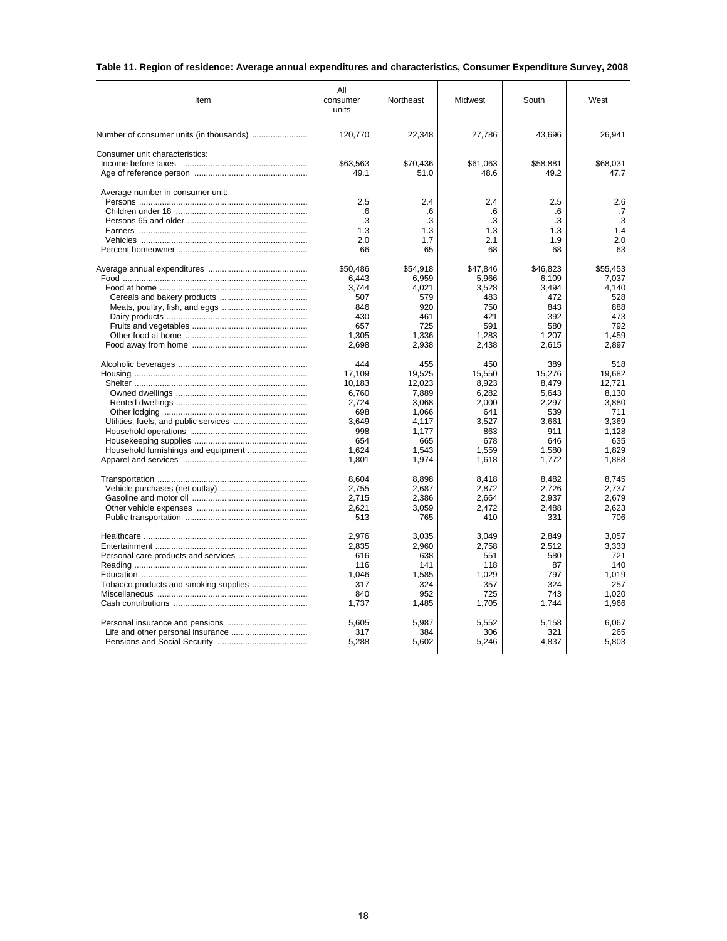# **Table 11. Region of residence: Average annual expenditures and characteristics, Consumer Expenditure Survey, 2008**

| Item                             | All<br>consumer<br>Northeast<br>units |                  | Midwest         | South           | West             |  |
|----------------------------------|---------------------------------------|------------------|-----------------|-----------------|------------------|--|
|                                  | 120,770                               | 22,348           | 27,786          | 43,696          | 26,941           |  |
| Consumer unit characteristics:   |                                       |                  |                 |                 |                  |  |
|                                  | \$63,563                              | \$70,436         | \$61,063        | \$58,881        | \$68,031         |  |
|                                  | 49.1                                  | 51.0             | 48.6            | 49.2            | 47.7             |  |
| Average number in consumer unit: |                                       |                  |                 |                 |                  |  |
|                                  | 2.5                                   | 2.4              | 2.4             | 2.5             | 2.6              |  |
|                                  | .6<br>.3                              | .6<br>.3         | .6<br>.3        | .6<br>.3        | .7<br>.3         |  |
|                                  | 1.3                                   | 1.3              | 1.3             | 1.3             | 1.4              |  |
|                                  | 2.0                                   | 1.7              | 2.1             | 1.9             | 2.0              |  |
|                                  | 66                                    | 65               | 68              | 68              | 63               |  |
|                                  | \$50,486                              | \$54,918         | \$47,846        | \$46,823        | \$55,453         |  |
|                                  | 6,443                                 | 6,959            | 5,966           | 6,109           | 7,037            |  |
|                                  | 3,744                                 | 4,021            | 3,528           | 3,494           | 4,140            |  |
|                                  | 507                                   | 579              | 483             | 472             | 528              |  |
|                                  | 846                                   | 920              | 750             | 843             | 888              |  |
|                                  | 430                                   | 461              | 421             | 392             | 473              |  |
|                                  | 657                                   | 725              | 591             | 580             | 792              |  |
|                                  | 1,305<br>2,698                        | 1,336<br>2,938   | 1,283<br>2,438  | 1,207<br>2,615  | 1,459<br>2,897   |  |
|                                  |                                       |                  |                 |                 |                  |  |
|                                  | 444                                   | 455              | 450             | 389             | 518              |  |
|                                  | 17,109<br>10,183                      | 19,525<br>12,023 | 15,550<br>8,923 | 15,276<br>8,479 | 19,682<br>12,721 |  |
|                                  | 6,760                                 | 7,889            | 6,282           | 5,643           | 8,130            |  |
|                                  | 2,724                                 | 3,068            | 2,000           | 2,297           | 3,880            |  |
|                                  | 698                                   | 1.066            | 641             | 539             | 711              |  |
|                                  | 3,649                                 | 4,117            | 3,527           | 3,661           | 3,369            |  |
|                                  | 998                                   | 1.177            | 863             | 911             | 1.128            |  |
|                                  | 654                                   | 665              | 678             | 646             | 635              |  |
|                                  | 1.624                                 | 1,543            | 1.559           | 1,580           | 1.829            |  |
|                                  | 1,801                                 | 1,974            | 1,618           | 1,772           | 1,888            |  |
|                                  | 8.604                                 | 8,898            | 8.418           | 8.482           | 8.745            |  |
|                                  | 2,755                                 | 2,687            | 2,872           | 2,726           | 2,737            |  |
|                                  | 2.715                                 | 2,386            | 2,664           | 2.937           | 2.679            |  |
|                                  | 2,621                                 | 3,059            | 2,472           | 2,488           | 2,623            |  |
|                                  | 513                                   | 765              | 410             | 331             | 706              |  |
|                                  | 2,976                                 | 3,035            | 3,049           | 2,849           | 3,057            |  |
|                                  | 2,835                                 | 2,960            | 2,758           | 2,512           | 3,333            |  |
|                                  | 616                                   | 638              | 551             | 580             | 721              |  |
|                                  | 116                                   | 141              | 118             | 87              | 140              |  |
|                                  | 1,046                                 | 1,585            | 1,029           | 797             | 1.019            |  |
|                                  | 317                                   | 324              | 357             | 324             | 257              |  |
|                                  | 840                                   | 952              | 725             | 743             | 1,020            |  |
|                                  | 1,737                                 | 1,485            | 1,705           | 1,744           | 1,966            |  |
|                                  | 5,605                                 | 5,987            | 5,552           | 5,158           | 6,067            |  |
|                                  | 317                                   | 384              | 306             | 321             | 265              |  |
|                                  | 5,288                                 | 5,602            | 5,246           | 4,837           | 5,803            |  |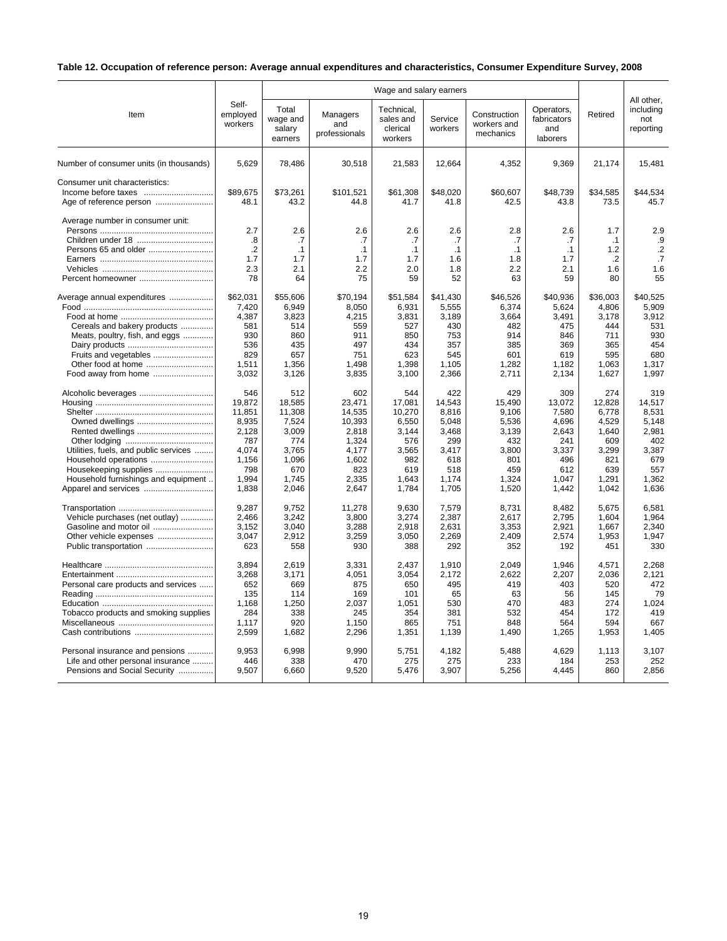# **Table 12. Occupation of reference person: Average annual expenditures and characteristics, Consumer Expenditure Survey, 2008**

|                                                       |                                          | Wage and salary earners                |                                     |                                                |                                            |                                          |                                              |                                                 | All other,                              |
|-------------------------------------------------------|------------------------------------------|----------------------------------------|-------------------------------------|------------------------------------------------|--------------------------------------------|------------------------------------------|----------------------------------------------|-------------------------------------------------|-----------------------------------------|
| Item                                                  | Self-<br>employed<br>workers             | Total<br>wage and<br>salary<br>earners | Managers<br>and<br>professionals    | Technical.<br>sales and<br>clerical<br>workers | Service<br>workers                         | Construction<br>workers and<br>mechanics | Operators,<br>fabricators<br>and<br>laborers | Retired                                         | including<br>not<br>reporting           |
| Number of consumer units (in thousands)               | 5.629                                    | 78,486                                 | 30,518                              | 21,583                                         | 12.664                                     | 4,352                                    | 9.369                                        | 21,174                                          | 15.481                                  |
| Consumer unit characteristics:                        | \$89.675<br>48.1                         | \$73,261<br>43.2                       | \$101,521<br>44.8                   | \$61.308<br>41.7                               | \$48.020<br>41.8                           | \$60.607<br>42.5                         | \$48.739<br>43.8                             | \$34,585<br>73.5                                | \$44,534<br>45.7                        |
| Average number in consumer unit:<br>Percent homeowner | 2.7<br>.8<br>$\cdot$<br>1.7<br>2.3<br>78 | 2.6<br>.7<br>.1<br>1.7<br>2.1<br>64    | 2.6<br>.7<br>.1<br>1.7<br>2.2<br>75 | 2.6<br>.7<br>.1<br>1.7<br>2.0<br>59            | 2.6<br>.7<br>$\cdot$ 1<br>1.6<br>1.8<br>52 | 2.8<br>.7<br>.1<br>1.8<br>2.2<br>63      | 2.6<br>.7<br>.1<br>1.7<br>2.1<br>59          | 1.7<br>$\cdot$ 1<br>1.2<br>$\cdot$<br>1.6<br>80 | 2.9<br>.9<br>$\cdot$<br>.7<br>1.6<br>55 |
| Average annual expenditures                           | \$62.031                                 | \$55,606                               | \$70.194                            | \$51,584                                       | \$41,430                                   | \$46,526                                 | \$40.936                                     | \$36,003                                        | \$40.525                                |
|                                                       | 7,420                                    | 6,949                                  | 8,050                               | 6,931                                          | 5,555                                      | 6,374                                    | 5,624                                        | 4,806                                           | 5,909                                   |
|                                                       | 4,387                                    | 3,823                                  | 4,215                               | 3,831                                          | 3,189                                      | 3,664                                    | 3,491                                        | 3,178                                           | 3,912                                   |
| Cereals and bakery products                           | 581                                      | 514                                    | 559                                 | 527                                            | 430                                        | 482                                      | 475                                          | 444                                             | 531                                     |
| Meats, poultry, fish, and eggs                        | 930                                      | 860                                    | 911                                 | 850                                            | 753                                        | 914                                      | 846                                          | 711                                             | 930                                     |
|                                                       | 536                                      | 435                                    | 497                                 | 434                                            | 357                                        | 385                                      | 369                                          | 365                                             | 454                                     |
| Fruits and vegetables                                 | 829                                      | 657                                    | 751                                 | 623                                            | 545                                        | 601                                      | 619                                          | 595                                             | 680                                     |
| Other food at home                                    | 1,511                                    | 1,356                                  | 1,498                               | 1,398                                          | 1,105                                      | 1,282                                    | 1,182                                        | 1,063                                           | 1,317                                   |
| Food away from home                                   | 3,032                                    | 3,126                                  | 3,835                               | 3,100                                          | 2,366                                      | 2,711                                    | 2,134                                        | 1,627                                           | 1,997                                   |
|                                                       | 546                                      | 512                                    | 602                                 | 544                                            | 422                                        | 429                                      | 309                                          | 274                                             | 319                                     |
|                                                       | 19,872                                   | 18,585                                 | 23,471                              | 17,081                                         | 14,543                                     | 15,490                                   | 13,072                                       | 12,828                                          | 14,517                                  |
|                                                       | 11,851                                   | 11,308                                 | 14,535                              | 10,270                                         | 8,816                                      | 9.106                                    | 7,580                                        | 6.778                                           | 8.531                                   |
|                                                       | 8,935                                    | 7,524                                  | 10,393                              | 6,550                                          | 5,048                                      | 5,536                                    | 4,696                                        | 4,529                                           | 5,148                                   |
|                                                       | 2,128                                    | 3,009                                  | 2.818                               | 3,144                                          | 3,468                                      | 3,139                                    | 2,643                                        | 1.640                                           | 2,981                                   |
|                                                       | 787                                      | 774                                    | 1,324                               | 576                                            | 299                                        | 432                                      | 241                                          | 609                                             | 402                                     |
| Utilities, fuels, and public services                 | 4,074                                    | 3,765                                  | 4,177                               | 3,565                                          | 3,417                                      | 3,800                                    | 3,337                                        | 3,299                                           | 3,387                                   |
| Household operations                                  | 1,156                                    | 1,096                                  | 1,602                               | 982                                            | 618                                        | 801                                      | 496                                          | 821                                             | 679                                     |
| Housekeeping supplies                                 | 798                                      | 670                                    | 823                                 | 619                                            | 518                                        | 459                                      | 612                                          | 639                                             | 557                                     |
| Household furnishings and equipment                   | 1,994                                    | 1,745                                  | 2,335                               | 1,643                                          | 1,174                                      | 1,324                                    | 1,047                                        | 1,291                                           | 1,362                                   |
| Apparel and services                                  | 1,838                                    | 2,046                                  | 2,647                               | 1,784                                          | 1,705                                      | 1,520                                    | 1,442                                        | 1,042                                           | 1,636                                   |
|                                                       | 9,287                                    | 9,752                                  | 11,278                              | 9,630                                          | 7,579                                      | 8,731                                    | 8,482                                        | 5,675                                           | 6,581                                   |
| Vehicle purchases (net outlay)                        | 2.466                                    | 3.242                                  | 3.800                               | 3,274                                          | 2.387                                      | 2.617                                    | 2,795                                        | 1.604                                           | 1.964                                   |
| Gasoline and motor oil                                | 3,152                                    | 3,040                                  | 3,288                               | 2,918                                          | 2,631                                      | 3,353                                    | 2,921                                        | 1,667                                           | 2,340                                   |
| Other vehicle expenses                                | 3,047                                    | 2,912                                  | 3,259                               | 3,050                                          | 2,269                                      | 2,409                                    | 2,574                                        | 1,953                                           | 1,947                                   |
|                                                       | 623                                      | 558                                    | 930                                 | 388                                            | 292                                        | 352                                      | 192                                          | 451                                             | 330                                     |
|                                                       | 3,894                                    | 2,619                                  | 3,331                               | 2,437                                          | 1,910                                      | 2,049                                    | 1,946                                        | 4,571                                           | 2,268                                   |
|                                                       | 3,268                                    | 3,171                                  | 4,051                               | 3,054                                          | 2,172                                      | 2,622                                    | 2,207                                        | 2,036                                           | 2,121                                   |
| Personal care products and services                   | 652                                      | 669                                    | 875                                 | 650                                            | 495                                        | 419                                      | 403                                          | 520                                             | 472                                     |
|                                                       | 135                                      | 114                                    | 169                                 | 101                                            | 65                                         | 63                                       | 56                                           | 145                                             | 79                                      |
|                                                       | 1,168                                    | 1,250                                  | 2.037                               | 1,051                                          | 530                                        | 470                                      | 483                                          | 274                                             | 1.024                                   |
| Tobacco products and smoking supplies                 | 284                                      | 338                                    | 245                                 | 354                                            | 381                                        | 532                                      | 454                                          | 172                                             | 419                                     |
|                                                       | 1,117                                    | 920                                    | 1,150                               | 865                                            | 751                                        | 848                                      | 564                                          | 594                                             | 667                                     |
|                                                       | 2,599                                    | 1,682                                  | 2,296                               | 1,351                                          | 1,139                                      | 1,490                                    | 1,265                                        | 1,953                                           | 1,405                                   |
| Personal insurance and pensions                       | 9,953                                    | 6,998                                  | 9,990                               | 5,751                                          | 4,182                                      | 5,488                                    | 4,629                                        | 1,113                                           | 3,107                                   |
| Life and other personal insurance                     | 446                                      | 338                                    | 470                                 | 275                                            | 275                                        | 233                                      | 184                                          | 253                                             | 252                                     |
| Pensions and Social Security                          | 9,507                                    | 6,660                                  | 9,520                               | 5,476                                          | 3,907                                      | 5,256                                    | 4,445                                        | 860                                             | 2,856                                   |